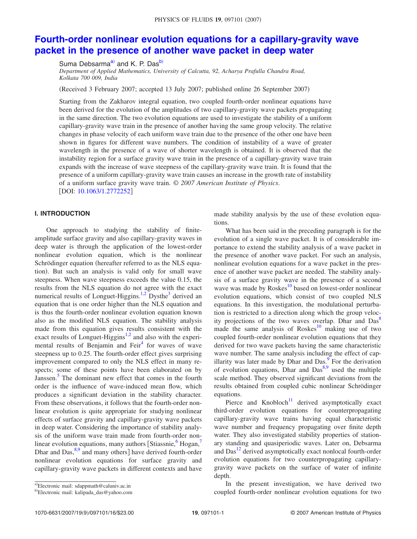# **Fourth-order nonlinear evolution equations for a capillary-gravity wave packet in the presence of another wave packet in deep water**

Suma Debsarma<sup>a)</sup> and K. P. Das<sup>b)</sup>

*Department of Applied Mathematics, University of Calcutta, 92, Acharya Prafulla Chandra Road, Kolkata 700 009, India*

(Received 3 February 2007; accepted 13 July 2007; published online 26 September 2007)

Starting from the Zakharov integral equation, two coupled fourth-order nonlinear equations have been derived for the evolution of the amplitudes of two capillary-gravity wave packets propagating in the same direction. The two evolution equations are used to investigate the stability of a uniform capillary-gravity wave train in the presence of another having the same group velocity. The relative changes in phase velocity of each uniform wave train due to the presence of the other one have been shown in figures for different wave numbers. The condition of instability of a wave of greater wavelength in the presence of a wave of shorter wavelength is obtained. It is observed that the instability region for a surface gravity wave train in the presence of a capillary-gravity wave train expands with the increase of wave steepness of the capillary-gravity wave train. It is found that the presence of a uniform capillary-gravity wave train causes an increase in the growth rate of instability of a uniform surface gravity wave train. © *2007 American Institute of Physics*. [DOI: 10.1063/1.2772252]

## **I. INTRODUCTION**

One approach to studying the stability of finiteamplitude surface gravity and also capillary-gravity waves in deep water is through the application of the lowest-order nonlinear evolution equation, which is the nonlinear Schrödinger equation (hereafter referred to as the NLS equation). But such an analysis is valid only for small wave steepness. When wave steepness exceeds the value 0.15, the results from the NLS equation do not agree with the exact numerical results of Longuet-Higgins.<sup>1,2</sup> Dysthe<sup>3</sup> derived an equation that is one order higher than the NLS equation and is thus the fourth-order nonlinear evolution equation known also as the modified NLS equation. The stability analysis made from this equation gives results consistent with the exact results of Longuet-Higgins $^{1,2}$  and also with the experimental results of Benjamin and Feir<sup>4</sup> for waves of wave steepness up to 0.25. The fourth-order effect gives surprising improvement compared to only the NLS effect in many respects; some of these points have been elaborated on by Janssen.<sup>5</sup> The dominant new effect that comes in the fourth order is the influence of wave-induced mean flow, which produces a significant deviation in the stability character. From these observations, it follows that the fourth-order nonlinear evolution is quite appropriate for studying nonlinear effects of surface gravity and capillary-gravity wave packets in deep water. Considering the importance of stability analysis of the uniform wave train made from fourth-order nonlinear evolution equations, many authors  $\left[$ Stiassnie, $\degree$ Hogan, $\degree$ Dhar and Das,<sup>8,9</sup> and many others] have derived fourth-order nonlinear evolution equations for surface gravity and capillary-gravity wave packets in different contexts and have

made stability analysis by the use of these evolution equations.

What has been said in the preceding paragraph is for the evolution of a single wave packet. It is of considerable importance to extend the stability analysis of a wave packet in the presence of another wave packet. For such an analysis, nonlinear evolution equations for a wave packet in the presence of another wave packet are needed. The stability analysis of a surface gravity wave in the presence of a second wave was made by  $Roskes<sup>10</sup>$  based on lowest-order nonlinear evolution equations, which consist of two coupled NLS equations. In this investigation, the modulational perturbation is restricted to a direction along which the group velocity projections of the two waves overlap. Dhar and  $Das<sup>8</sup>$ made the same analysis of Roskes<sup>10</sup> making use of two coupled fourth-order nonlinear evolution equations that they derived for two wave packets having the same characteristic wave number. The same analysis including the effect of capillarity was later made by Dhar and  $\text{Das.}^9$  For the derivation of evolution equations, Dhar and  $Das<sup>8,9</sup>$  used the multiple scale method. They observed significant deviations from the results obtained from coupled cubic nonlinear Schrödinger equations.

Pierce and Knobloch<sup>11</sup> derived asymptotically exact third-order evolution equations for counterpropagating capillary-gravity wave trains having equal characteristic wave number and frequency propagating over finite depth water. They also investigated stability properties of stationary standing and quasiperiodic waves. Later on, Debsarma and Das<sup>12</sup> derived asymptotically exact nonlocal fourth-order evolution equations for two counterpropagating capillarygravity wave packets on the surface of water of infinite depth.

In the present investigation, we have derived two coupled fourth-order nonlinear evolution equations for two

a)Electronic mail: sdappmath@caluniv.ac.in

<sup>&</sup>lt;sup>b)</sup>Electronic mail: kalipada\_das@yahoo.com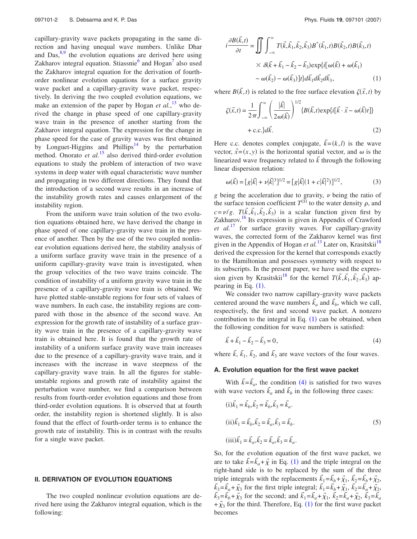capillary-gravity wave packets propagating in the same direction and having unequal wave numbers. Unlike Dhar and Das,  $8,9$  the evolution equations are derived here using Zakharov integral equation. Stiassnie<sup>6</sup> and Hogan<sup>7</sup> also used the Zakharov integral equation for the derivation of fourthorder nonlinear evolution equations for a surface gravity wave packet and a capillary-gravity wave packet, respectively. In deriving the two coupled evolution equations, we make an extension of the paper by Hogan *et al.*,<sup>13</sup> who derived the change in phase speed of one capillary-gravity wave train in the presence of another starting from the Zakharov integral equation. The expression for the change in phase speed for the case of gravity waves was first obtained by Longuet-Higgins and Phillips<sup>14</sup> by the perturbation method. Onorato *et al.*<sup>15</sup> also derived third-order evolution equations to study the problem of interaction of two wave systems in deep water with equal characteristic wave number and propagating in two different directions. They found that the introduction of a second wave results in an increase of the instability growth rates and causes enlargement of the instability region.

From the uniform wave train solution of the two evolution equations obtained here, we have derived the change in phase speed of one capillary-gravity wave train in the presence of another. Then by the use of the two coupled nonlinear evolution equations derived here, the stability analysis of a uniform surface gravity wave train in the presence of a uniform capillary-gravity wave train is investigated, when the group velocities of the two wave trains coincide. The condition of instability of a uniform gravity wave train in the presence of a capillary-gravity wave train is obtained. We have plotted stable-unstable regions for four sets of values of wave numbers. In each case, the instability regions are compared with those in the absence of the second wave. An expression for the growth rate of instability of a surface gravity wave train in the presence of a capillary-gravity wave train is obtained here. It is found that the growth rate of instability of a uniform surface gravity wave train increases due to the presence of a capillary-gravity wave train, and it increases with the increase in wave steepness of the capillary-gravity wave train. In all the figures for stableunstable regions and growth rate of instability against the perturbation wave number, we find a comparison between results from fourth-order evolution equations and those from third-order evolution equations. It is observed that at fourth order, the instability region is shortened slightly. It is also found that the effect of fourth-order terms is to enhance the growth rate of instability. This is in contrast with the results for a single wave packet.

#### **II. DERIVATION OF EVOLUTION EQUATIONS**

The two coupled nonlinear evolution equations are derived here using the Zakharov integral equation, which is the following:

$$
i\frac{\partial B(\vec{k},t)}{\partial t} = \iint_{-\infty}^{\infty} T(\vec{k}, \vec{k}_1, \vec{k}_2, \vec{k}_3) B^*(\vec{k}_1, t) B(\vec{k}_2, t) B(\vec{k}_3, t)
$$

$$
\times \delta(\vec{k} + \vec{k}_1 - \vec{k}_2 - \vec{k}_3) \exp\{i[\omega(\vec{k}) + \omega(\vec{k}_1) - \omega(\vec{k}_2) - \omega(\vec{k}_3)]t\} d\vec{k}_1 d\vec{k}_2 d\vec{k}_3, \qquad (1)
$$

where  $B(\vec{k},t)$  is related to the free surface elevation  $\zeta(\vec{x},t)$  by

$$
\zeta(\vec{x},t) = \frac{1}{2\pi} \int_{-\infty}^{\infty} \left( \frac{|\vec{k}|}{2\omega(\vec{k})} \right)^{1/2} \{ B(\vec{k},t) \exp\{i[\vec{k}\cdot\vec{x} - \omega(\vec{k})t] \}
$$
  
+ c.c.}
$$
+ \frac{1}{2} \int_{-\infty}^{\infty} \left( \frac{|\vec{k}|}{2\omega(\vec{k})} \right)^{1/2} \{ B(\vec{k},t) \exp\{i[\vec{k}\cdot\vec{x} - \omega(\vec{k})t] \}
$$
(2)

Here c.c. denotes complex conjugate,  $\vec{k} = (k, l)$  is the wave vector,  $\vec{x} = (x, y)$  is the horizontal spatial vector, and  $\omega$  is the linearized wave frequency related to  $\vec{k}$  through the following linear dispersion relation:

$$
\omega(\vec{k}) = [g|\vec{k}| + \nu|\vec{k}|^3]^{1/2} = [g|\vec{k}|(1 + c|\vec{k}|^2)]^{1/2},\tag{3}
$$

 $g$  being the acceleration due to gravity,  $\nu$  being the ratio of the surface tension coefficient  $T^{(S)}$  to the water density  $\rho$ , and  $c = \nu/g$ . *T*( $\vec{k}, \vec{k}_1, \vec{k}_2, \vec{k}_3$ ) is a scalar function given first by Zakharov.<sup>16</sup> Its expression is given in Appendix of Crawford *et al.*<sup>17</sup> for surface gravity waves. For capillary-gravity waves, the corrected form of the Zakharov kernel was first given in the Appendix of Hogan *et al.*<sup>13</sup> Later on, Krasitskii<sup>18</sup> derived the expression for the kernel that corresponds exactly to the Hamiltonian and possesses symmetry with respect to its subscripts. In the present paper, we have used the expression given by Krasitskii<sup>18</sup> for the kernel  $T(\vec{k}, \vec{k}_1, \vec{k}_2, \vec{k}_3)$  appearing in Eq.  $(1)$ .

We consider two narrow capillary-gravity wave packets centered around the wave numbers  $\vec{k}_a$  and  $\vec{k}_b$ , which we call, respectively, the first and second wave packet. A nonzero contribution to the integral in Eq.  $(1)$  can be obtained, when the following condition for wave numbers is satisfied:

$$
\vec{k} + \vec{k}_1 - \vec{k}_2 - \vec{k}_3 = 0,\tag{4}
$$

where  $\vec{k}$ ,  $\vec{k}_1$ ,  $\vec{k}_2$ , and  $\vec{k}_3$  are wave vectors of the four waves.

### **A. Evolution equation for the first wave packet**

With  $\vec{k} = \vec{k}_a$ , the condition (4) is satisfied for two waves with wave vectors  $\vec{k}_a$  and  $\vec{k}_b$  in the following three cases:

(i) 
$$
\vec{k}_1 = \vec{k}_b, \vec{k}_2 = \vec{k}_b, \vec{k}_3 = \vec{k}_a.
$$
  
\n(ii)  $\vec{k}_1 = \vec{k}_b, \vec{k}_2 = \vec{k}_a, \vec{k}_3 = \vec{k}_b.$   
\n(iii)  $\vec{k}_1 = \vec{k}_a, \vec{k}_2 = \vec{k}_a, \vec{k}_3 = \vec{k}_a.$  (5)

So, for the evolution equation of the first wave packet, we are to take  $\vec{k} = \vec{k}_a + \vec{\chi}$  in Eq. (1) and the triple integral on the right-hand side is to be replaced by the sum of the three triple integrals with the replacements  $\vec{k}_1 = \vec{k}_b + \vec{\chi}_1$ ,  $\vec{k}_2 = \vec{k}_b + \vec{\chi}_2$ ,  $k_3 = k_a + \bar{\chi}_3$  for the first triple integral;  $k_1 = k_b + \bar{\chi}_1$ ,  $k_2 = k_a + \bar{\chi}_2$ ,  $k_3 = k_b + \bar{\chi}_3$  for the second; and  $k_1 = k_a + \bar{\chi}_1$ ,  $k_2 = k_a + \bar{\chi}_2$ ,  $k_3 = k_a$  $+\vec{\chi}_3$  for the third. Therefore, Eq. (1) for the first wave packet becomes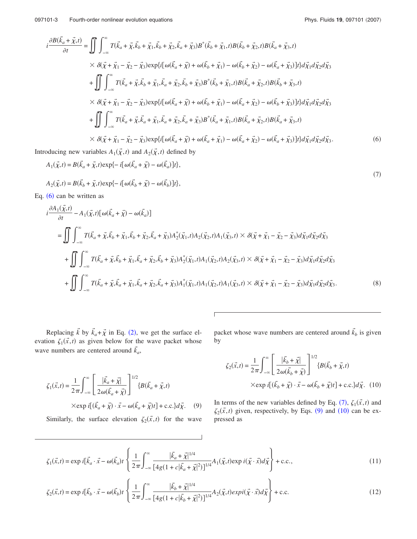$$
i\frac{\partial B(\vec{k}_a + \vec{\chi}, t)}{\partial t} = \iint_{-\infty}^{\infty} T(\vec{k}_a + \vec{\chi}, \vec{k}_b + \vec{\chi}_1, \vec{k}_b + \vec{\chi}_2, \vec{k}_a + \vec{\chi}_3) B^*(\vec{k}_b + \vec{\chi}_1, t) B(\vec{k}_b + \vec{\chi}_2, t) B(\vec{k}_a + \vec{\chi}_3, t) \times \delta(\vec{\chi} + \vec{\chi}_1 - \vec{\chi}_2 - \vec{\chi}_3) \exp\{i[\omega(\vec{k}_a + \vec{\chi}) + \omega(\vec{k}_b + \vec{\chi}_1) - \omega(\vec{k}_b + \vec{\chi}_2) - \omega(\vec{k}_a + \vec{\chi}_3)]t\} d\vec{\chi}_1 d\vec{\chi}_2 d\vec{\chi}_3 + \iiint_{-\infty}^{\infty} T(\vec{k}_a + \vec{\chi}, \vec{k}_b + \vec{\chi}_1, \vec{k}_a + \vec{\chi}_2, \vec{k}_b + \vec{\chi}_3) B^*(\vec{k}_b + \vec{\chi}_1, t) B(\vec{k}_a + \vec{\chi}_2, t) B(\vec{k}_b + \vec{\chi}_3, t) \times \delta(\vec{\chi} + \vec{\chi}_1 - \vec{\chi}_2 - \vec{\chi}_3) \exp\{i[\omega(\vec{k}_a + \vec{\chi}) + \omega(\vec{k}_b + \vec{\chi}_1) - \omega(\vec{k}_a + \vec{\chi}_2) - \omega(\vec{k}_b + \vec{\chi}_3)]t\} d\vec{\chi}_1 d\vec{\chi}_2 d\vec{\chi}_3 + \iiint_{-\infty}^{\infty} T(\vec{k}_a + \vec{\chi}, \vec{k}_a + \vec{\chi}_1, \vec{k}_a + \vec{\chi}_2, \vec{k}_a + \vec{\chi}_3) B^*(\vec{k}_a + \vec{\chi}_1, t) B(\vec{k}_a + \vec{\chi}_2, t) B(\vec{k}_a + \vec{\chi}_3, t) \times \delta(\vec{\chi} + \vec{\chi}_1 - \vec{\chi}_2 - \vec{\chi}_3) \exp\{i[\omega(\vec{k}_a + \vec{\chi}) + \omega(\vec{k}_a + \vec{\chi}_1) - \omega(\vec{k}_a + \vec{\chi}_2) - \omega(\vec{k}_a + \vec{\chi}_3)]t\} d\vec{\chi}_1 d\vec{\chi}_2 d\vec{\chi}_3.
$$
(6)

Introducing new variables  $A_1(\vec{\chi}, t)$  and  $A_2(\vec{\chi}, t)$  defined by

$$
A_1(\vec{\chi},t) = B(\vec{k}_a + \vec{\chi},t) \exp\{-i[\omega(\vec{k}_a + \vec{\chi}) - \omega(\vec{k}_a)]t\},\tag{7}
$$

$$
A_2(\vec{\chi},t) = B(\vec{k}_b + \vec{\chi},t) \exp\{-i[\omega(\vec{k}_b + \vec{\chi}) - \omega(\vec{k}_b)]t\},\,
$$

Eq.  $(6)$  can be written as

$$
i\frac{\partial A_1(\vec{\chi},t)}{\partial t} - A_1(\vec{\chi},t)[\omega(\vec{k}_a + \vec{\chi}) - \omega(\vec{k}_a)]
$$
  
\n=
$$
\iint_{-\infty}^{\infty} T(\vec{k}_a + \vec{\chi}, \vec{k}_b + \vec{\chi}_1, \vec{k}_b + \vec{\chi}_2, \vec{k}_a + \vec{\chi}_3) A_2^*(\vec{\chi}_1, t) A_2(\vec{\chi}_2, t) A_1(\vec{\chi}_3, t) \times \delta(\vec{\chi} + \vec{\chi}_1 - \vec{\chi}_2 - \vec{\chi}_3) d\vec{\chi}_1 d\vec{\chi}_2 d\vec{\chi}_3
$$
  
\n+
$$
\iint_{-\infty}^{\infty} T(\vec{k}_a + \vec{\chi}, \vec{k}_b + \vec{\chi}_1, \vec{k}_a + \vec{\chi}_2, \vec{k}_b + \vec{\chi}_3) A_2^*(\vec{\chi}_1, t) A_1(\vec{\chi}_2, t) A_2(\vec{\chi}_3, t) \times \delta(\vec{\chi} + \vec{\chi}_1 - \vec{\chi}_2 - \vec{\chi}_3) d\vec{\chi}_1 d\vec{\chi}_2 d\vec{\chi}_3
$$
  
\n+
$$
\iint_{-\infty}^{\infty} T(\vec{k}_a + \vec{\chi}, \vec{k}_a + \vec{\chi}_1, \vec{k}_a + \vec{\chi}_2, \vec{k}_a + \vec{\chi}_3) A_1^*(\vec{\chi}_1, t) A_1(\vec{\chi}_2, t) A_1(\vec{\chi}_3, t) \times \delta(\vec{\chi} + \vec{\chi}_1 - \vec{\chi}_2 - \vec{\chi}_3) d\vec{\chi}_1 d\vec{\chi}_2 d\vec{\chi}_3.
$$
 (8)

Replacing  $\vec{k}$  by  $\vec{k}_a + \vec{\chi}$  in Eq. (2), we get the surface elevation  $\zeta_1(\vec{x},t)$  as given below for the wave packet whose wave numbers are centered around  $\vec{k}_a$ ,

packet whose wave numbers are centered around  $\vec{k}_b$  is given by

$$
\zeta_1(\vec{x},t) = \frac{1}{2\pi} \int_{-\infty}^{\infty} \left[ \frac{|\vec{k}_a + \vec{\chi}|}{2\omega(\vec{k}_a + \vec{\chi})} \right]^{1/2} \{ B(\vec{k}_a + \vec{\chi},t) \times \exp i[(\vec{k}_a + \vec{\chi}) \cdot \vec{x} - \omega(\vec{k}_a + \vec{\chi})t] + \text{c.c.} \} d\vec{\chi}.
$$
 (9)

Similarly, the surface elevation  $\zeta_2(\vec{x},t)$  for the wave

$$
\zeta_2(\vec{x},t) = \frac{1}{2\pi} \int_{-\infty}^{\infty} \left[ \frac{|\vec{k}_b + \vec{\chi}|}{2\omega(\vec{k}_b + \vec{\chi})} \right]^{1/2} \{ B(\vec{k}_b + \vec{\chi},t) \times \exp i[(\vec{k}_b + \vec{\chi}) \cdot \vec{x} - \omega(\vec{k}_b + \vec{\chi})t] + \text{c.c.} \} d\vec{\chi}. \tag{10}
$$

In terms of the new variables defined by Eq. (7),  $\zeta_1(\vec{x},t)$  and  $\zeta_2(\vec{x},t)$  given, respectively, by Eqs. (9) and (10) can be expressed as

$$
\zeta_1(\vec{x},t) = \exp i[\vec{k}_a \cdot \vec{x} - \omega(\vec{k}_a)t] \left\{ \frac{1}{2\pi} \int_{-\infty}^{\infty} \frac{|\vec{k}_a + \vec{\chi}|^{1/4}}{[4g(1 + c|\vec{k}_a + \vec{\chi}|^2)]^{1/4}} A_1(\vec{\chi},t) \exp i(\vec{\chi} \cdot \vec{x}) d\vec{\chi} \right\} + \text{c.c.},
$$
\n(11)

 $\overline{\phantom{a}}$ 

$$
\zeta_2(\vec{x},t) = \exp i[\vec{k}_b \cdot \vec{x} - \omega(\vec{k}_b)t] \left\{ \frac{1}{2\pi} \int_{-\infty}^{\infty} \frac{|\vec{k}_b + \vec{\chi}|^{1/4}}{[4g(1 + c|\vec{k}_b + \vec{\chi}|^2)]^{1/4}} A_2(\vec{\chi},t) expi(\vec{\chi} \cdot \vec{x}) d\vec{\chi} \right\} + \text{c.c.}
$$
\n(12)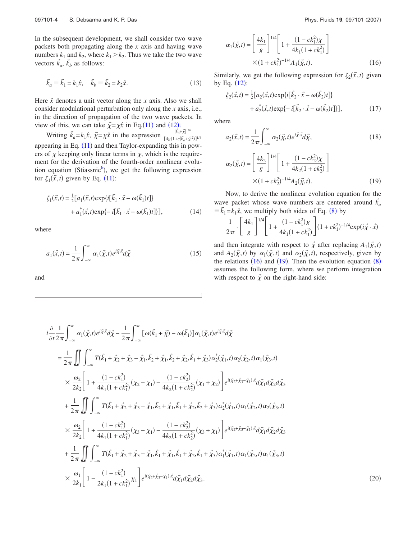In the subsequent development, we shall consider two wave packets both propagating along the *x* axis and having wave numbers  $k_1$  and  $k_2$ , where  $k_1 > k_2$ . Thus we take the two wave vectors  $\vec{k}_a$ ,  $\vec{k}_b$  as follows:

$$
\vec{k}_a \equiv \vec{k}_1 = k_1 \hat{x}, \quad \vec{k}_b \equiv \vec{k}_2 = k_2 \hat{x}.
$$
 (13)

Here *xˆ* denotes a unit vector along the *x* axis. Also we shall consider modulational perturbation only along the *x* axis, i.e., in the direction of propagation of the two wave packets. In view of this, we can take  $\vec{\chi} = \chi \hat{x}$  in Eq.(11) and (12).

Writing  $\vec{k}_a = k_1 \hat{x}$ ,  $\vec{\chi} = \chi \hat{x}$  in the expression  $\frac{|\vec{k}_a + \vec{\chi}|^{1/4}}{14e(1 + c|\vec{k} + \vec{v}|)}$  $[4g(1+c|\vec{k}_a+\vec{\chi}|^2)]^{1/4}$ appearing in Eq.  $(11)$  and then Taylor-expanding this in powers of  $\chi$  keeping only linear terms in  $\chi$ , which is the requirement for the derivation of the fourth-order nonlinear evolution equation (Stiassnie<sup>6</sup>), we get the following expression for  $\zeta_1(\vec{x},t)$  given by Eq. (11):

$$
\zeta_1(\vec{x},t) = \frac{1}{2} [a_1(\vec{x},t) \exp\{i[\vec{k}_1 \cdot \vec{x} - \omega(\vec{k}_1)t]\} + a_1^*(\vec{x},t) \exp\{-i[\vec{k}_1 \cdot \vec{x} - \omega(\vec{k}_1)t]\}],
$$
\n(14)

where

$$
a_1(\vec{x},t) = \frac{1}{2\pi} \int_{-\infty}^{\infty} \alpha_1(\vec{\chi},t) e^{i\vec{\chi}\cdot\vec{x}} d\vec{\chi}
$$
 (15)

and

$$
\alpha_1(\vec{\chi},t) = \left[\frac{4k_1}{g}\right]^{1/4} \left[1 + \frac{(1 - ck_1^2)\chi}{4k_1(1 + ck_1^2)}\right]
$$

$$
\times (1 + ck_1^2)^{-1/4}A_1(\vec{\chi},t).
$$
 (16)

Similarly, we get the following expression for  $\zeta_2(\vec{x},t)$  given by Eq.  $(12)$ :

$$
\zeta_2(\vec{x},t) = \frac{1}{2} [a_2(\vec{x},t) \exp\{i[\vec{k}_2 \cdot \vec{x} - \omega(\vec{k}_2)t]\} + a_2^*(\vec{x},t) \exp\{-i[\vec{k}_2 \cdot \vec{x} - \omega(\vec{k}_2)t]\}],
$$
\n(17)

where

$$
a_2(\vec{x},t) = \frac{1}{2\pi} \int_{-\infty}^{\infty} \alpha_2(\vec{\chi},t) e^{i\vec{\chi}\cdot\vec{x}} d\vec{\chi},
$$
 (18)

$$
\alpha_2(\vec{\chi},t) = \left[\frac{4k_2}{g}\right]^{1/4} \left[1 + \frac{(1 - ck_2^2)\chi}{4k_2(1 + ck_2^2)}\right] \times (1 + ck_2^2)^{-1/4} A_2(\vec{\chi},t).
$$
\n(19)

Now, to derive the nonlinear evolution equation for the wave packet whose wave numbers are centered around  $\vec{k}_a$  $\equiv \vec{k}_1 = k_1 \hat{x}$ , we multiply both sides of Eq. (8) by

$$
\frac{1}{2\pi} \cdot \left[ \frac{4k_1}{g} \right]^{1/4} \left[ 1 + \frac{(1 - ck_1^2)\chi}{4k_1(1 + ck_1^2)} \right] (1 + ck_1^2)^{-1/4} \exp(i\vec{\chi} \cdot \vec{x})
$$

and then integrate with respect to  $\vec{\chi}$  after replacing  $A_1(\vec{\chi}, t)$ and  $A_2(\vec{\chi}, t)$  by  $\alpha_1(\vec{\chi}, t)$  and  $\alpha_2(\vec{\chi}, t)$ , respectively, given by the relations  $(16)$  and  $(19)$ . Then the evolution equation  $(8)$ assumes the following form, where we perform integration with respect to  $\vec{\chi}$  on the right-hand side:

$$
i\frac{\partial}{\partial t} \frac{1}{2\pi} \int_{-\infty}^{\infty} \alpha_{1}(\vec{\chi},t) e^{i\vec{\chi}\cdot\vec{x}} d\vec{\chi} - \frac{1}{2\pi} \int_{-\infty}^{\infty} [\omega(\vec{k}_{1} + \vec{\chi}) - \omega(\vec{k}_{1})] \alpha_{1}(\vec{\chi},t) e^{i\vec{\chi}\cdot\vec{x}} d\vec{\chi}
$$
  
\n
$$
= \frac{1}{2\pi} \iint_{-\infty}^{\infty} T(\vec{k}_{1} + \vec{\chi}_{2} + \vec{\chi}_{3} - \vec{\chi}_{1}, \vec{k}_{2} + \vec{\chi}_{1}, \vec{k}_{2} + \vec{\chi}_{2}, \vec{k}_{1} + \vec{\chi}_{3}) \alpha_{2}^{\dagger}(\vec{\chi}_{1},t) \alpha_{2}(\vec{\chi}_{2},t) \alpha_{1}(\vec{\chi}_{3},t)
$$
  
\n
$$
\times \frac{\omega_{2}}{2k_{2}} \left[ 1 + \frac{(1 - ck_{1}^{2})}{4k_{1}(1 + ck_{1}^{2})} (\chi_{2} - \chi_{1}) - \frac{(1 - ck_{2}^{2})}{4k_{2}(1 + ck_{2}^{2})} (\chi_{1} + \chi_{2}) \right] e^{i(\vec{\chi}_{2} + \vec{\chi}_{3} - \vec{\chi}_{1}) \cdot \vec{x}} d\vec{\chi}_{1} d\vec{\chi}_{2} d\vec{\chi}_{3}
$$
  
\n
$$
+ \frac{1}{2\pi} \iint_{-\infty}^{\infty} T(\vec{k}_{1} + \vec{\chi}_{2} + \vec{\chi}_{3} - \vec{\chi}_{1}, \vec{k}_{2} + \vec{\chi}_{1}, \vec{k}_{1} + \vec{\chi}_{2}, \vec{k}_{2} + \vec{\chi}_{3}) \alpha_{2}^{\dagger}(\vec{\chi}_{1},t) \alpha_{1}(\vec{\chi}_{2},t) \alpha_{2}(\vec{\chi}_{3},t)
$$
  
\n
$$
\times \frac{\omega_{2}}{2k_{2}} \left[ 1 + \frac{(1 - ck_{1}^{2})}{4k_{1}(1 + ck_{1}^{2})} (\chi_{3} - \chi_{1}) - \frac{(1 - ck_{2}^{2})}{4k_{2}(1 + ck_{2}^{2})} (\chi_{3} + \chi_{1}) \right] e^{i(\vec{\chi}_{2} + \vec{\chi}_{3} - \vec{\chi}_{1}) \cdot \vec
$$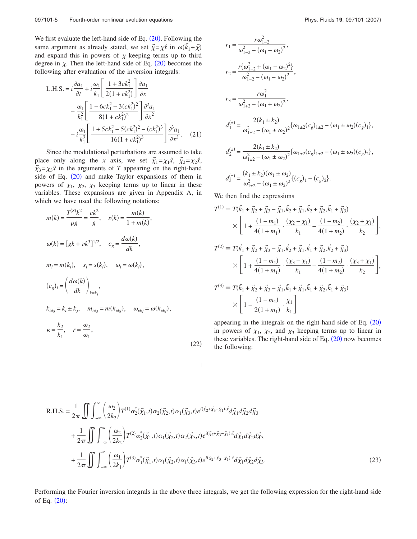We first evaluate the left-hand side of Eq.  $(20)$ . Following the same argument as already stated, we set  $\vec{\chi} = \chi \hat{x}$  in  $\omega(\vec{k}_1 + \vec{\chi})$ and expand this in powers of  $\chi$  keeping terms up to third degree in  $\chi$ . Then the left-hand side of Eq. (20) becomes the following after evaluation of the inversion integrals:

L.H.S. = 
$$
i \frac{\partial a_1}{\partial t} + i \frac{\omega_1}{k_1} \left[ \frac{1 + 3ck_1^2}{2(1 + ck_1^2)} \right] \frac{\partial a_1}{\partial x}
$$
  
\n
$$
- \frac{\omega_1}{k_1^2} \left[ \frac{1 - 6ck_1^2 - 3(ck_1^2)^2}{8(1 + ck_1^2)^2} \right] \frac{\partial^2 a_1}{\partial x^2}
$$
\n
$$
- i \frac{\omega_1}{k_1^3} \left[ \frac{1 + 5ck_1^2 - 5(ck_1^2)^2 - (ck_1^2)^3}{16(1 + ck_1^2)^3} \right] \frac{\partial^3 a_1}{\partial x^3}.
$$
 (21)

Since the modulational perturbations are assumed to take place only along the *x* axis, we set  $\vec{\chi}_1 = \chi_1 \hat{x}$ ,  $\vec{\chi}_2 = \chi_2 \hat{x}$ ,  $\vec{\chi}_3 = \chi_3 \hat{x}$  in the arguments of *T* appearing on the right-hand side of Eq.  $(20)$  and make Taylor expansions of them in powers of  $\chi_1$ ,  $\chi_2$ ,  $\chi_3$  keeping terms up to linear in these variables. These expansions are given in Appendix A, in which we have used the following notations:

$$
m(k) = \frac{T^{(S)}k^2}{\rho g} = \frac{ck^2}{g}, \quad s(k) = \frac{m(k)}{1 + m(k)},
$$
  
\n
$$
\omega(k) = [gk + vk^3]^{1/2}, \quad c_g = \frac{d\omega(k)}{dk},
$$
  
\n
$$
m_i = m(k_i), \quad s_i = s(k_i), \quad \omega_i = \omega(k_i),
$$
  
\n
$$
(c_g)_i = \left(\frac{d\omega(k)}{dk}\right)_{k=k_i},
$$
  
\n
$$
k_{i\pm j} = k_i \pm k_j, \quad m_{i\pm j} = m(k_{i\pm j}), \quad \omega_{i\pm j} = \omega(k_{i\pm j}),
$$
  
\n
$$
\kappa = \frac{k_2}{k_1}, \quad r = \frac{\omega_2}{\omega_1},
$$

$$
r_{1} = \frac{r\omega_{1-2}^{2}}{\omega_{1-2}^{2} - (\omega_{1} - \omega_{2})^{2}},
$$
  
\n
$$
r_{2} = \frac{r\{\omega_{1-2}^{2} + (\omega_{1} - \omega_{2})^{2}\}}{\omega_{1-2}^{2} - (\omega_{1} - \omega_{2})^{2}},
$$
  
\n
$$
r_{3} = \frac{r\omega_{1}^{2}}{\omega_{1+2}^{2} - (\omega_{1} + \omega_{2})^{2}},
$$
  
\n
$$
d_{1}^{(\pm)} = \frac{2(k_{1} \pm k_{2})}{\omega_{1\pm2}^{2} - (\omega_{1} \pm \omega_{2})^{2}} \{\omega_{1\pm2}(c_{g})_{1\pm2} - (\omega_{1} \pm \omega_{2})(c_{g})_{1}\},
$$
  
\n
$$
d_{2}^{(\pm)} = \frac{2(k_{1} \pm k_{2})}{\omega_{1\pm2}^{2} - (\omega_{1} \pm \omega_{2})^{2}} \{\omega_{1\pm2}(c_{g})_{1\pm2} - (\omega_{1} \pm \omega_{2})(c_{g})_{2}\},
$$
  
\n
$$
d_{3}^{(\pm)} = \frac{(k_{1} \pm k_{2})(\omega_{1} \pm \omega_{2})}{\omega_{1\pm2}^{2} - (\omega_{1} \pm \omega_{2})^{2}} \{(c_{g})_{1} - (c_{g})_{2}\}.
$$

We then find the expressions

$$
T^{(1)} = T(\vec{k}_1 + \vec{\chi}_2 + \vec{\chi}_3 - \vec{\chi}_1, \vec{k}_2 + \vec{\chi}_1, \vec{k}_2 + \vec{\chi}_2, \vec{k}_1 + \vec{\chi}_3)
$$
  
\n
$$
\times \left[ 1 + \frac{(1 - m_1)}{4(1 + m_1)} \cdot \frac{(\chi_2 - \chi_1)}{k_1} - \frac{(1 - m_2)}{4(1 + m_2)} \cdot \frac{(\chi_2 + \chi_1)}{k_2} \right],
$$
  
\n
$$
T^{(2)} = T(\vec{k}_1 + \vec{\chi}_2 + \vec{\chi}_3 - \vec{\chi}_1, \vec{k}_2 + \vec{\chi}_1, \vec{k}_1 + \vec{\chi}_2, \vec{k}_2 + \vec{\chi}_3)
$$
  
\n
$$
\times \left[ 1 + \frac{(1 - m_1)}{4(1 + m_1)} \cdot \frac{(\chi_3 - \chi_1)}{k_1} - \frac{(1 - m_2)}{4(1 + m_2)} \cdot \frac{(\chi_3 + \chi_1)}{k_2} \right],
$$
  
\n
$$
T^{(3)} = T(\vec{k}_1 + \vec{\chi}_2 + \vec{\chi}_3 - \vec{\chi}_1, \vec{k}_1 + \vec{\chi}_1, \vec{k}_1 + \vec{\chi}_2, \vec{k}_1 + \vec{\chi}_3)
$$
  
\n
$$
\times \left[ 1 - \frac{(1 - m_1)}{2(1 + m_1)} \cdot \frac{\chi_1}{k_1} \right]
$$

appearing in the integrals on the right-hand side of Eq.  $(20)$ in powers of  $\chi_1$ ,  $\chi_2$ , and  $\chi_3$  keeping terms up to linear in these variables. The right-hand side of Eq.  $(20)$  now becomes the following:

$$
R.H.S. = \frac{1}{2\pi} \iint_{-\infty}^{\infty} \left( \frac{\omega_2}{2k_2} \right) T^{(1)} \alpha_2^*(\vec{\chi}_1, t) \alpha_2(\vec{\chi}_2, t) \alpha_1(\vec{\chi}_3, t) e^{i(\vec{\chi}_2 + \vec{\chi}_3 - \vec{\chi}_1) \cdot \vec{\chi}} d\vec{\chi}_1 d\vec{\chi}_2 d\vec{\chi}_3
$$
  
+ 
$$
\frac{1}{2\pi} \iint_{-\infty}^{\infty} \left( \frac{\omega_2}{2k_2} \right) T^{(2)} \alpha_2^*(\vec{\chi}_1, t) \alpha_1(\vec{\chi}_2, t) \alpha_2(\vec{\chi}_3, t) e^{i(\vec{\chi}_2 + \vec{\chi}_3 - \vec{\chi}_1) \cdot \vec{\chi}} d\vec{\chi}_1 d\vec{\chi}_2 d\vec{\chi}_3
$$
  
+ 
$$
\frac{1}{2\pi} \iint_{-\infty}^{\infty} \left( \frac{\omega_1}{2k_1} \right) T^{(3)} \alpha_1^*(\vec{\chi}_1, t) \alpha_1(\vec{\chi}_2, t) \alpha_1(\vec{\chi}_3, t) e^{i(\vec{\chi}_2 + \vec{\chi}_3 - \vec{\chi}_1) \cdot \vec{\chi}} d\vec{\chi}_1 d\vec{\chi}_2 d\vec{\chi}_3.
$$
(23)

 $(22)$ 

Performing the Fourier inversion integrals in the above three integrals, we get the following expression for the right-hand side of Eq. (20):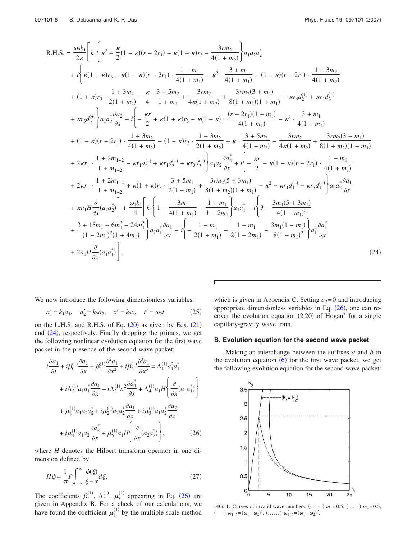$$
R.H.S. = \frac{\omega_{2}k_{1}}{2\kappa} \left[ k_{1} \left( \kappa^{2} + \frac{\kappa}{2} (1 - \kappa)(r - 2r_{1}) - \kappa(1 + \kappa)r_{3} - \frac{3rm_{2}}{4(1 + m_{2})} \right) a_{1}a_{2}a_{2}^{*} + i \left( \kappa(1 + \kappa)r_{3} - \kappa(1 - \kappa)(r - 2r_{1}) \cdot \frac{1 - m_{1}}{4(1 + m_{1})} - \kappa^{2} \cdot \frac{3 + m_{1}}{4(1 + m_{1})} - (1 - \kappa)(r - 2r_{1}) \cdot \frac{1 + 3m_{2}}{4(1 + m_{2})} \right. \\ + (1 + \kappa)r_{3} \cdot \frac{1 + 3m_{2}}{2(1 + m_{2})} - \frac{\kappa}{4} \cdot \frac{3 + 5m_{2}}{1 + m_{2}} + \frac{3rm_{2}}{4\kappa(1 + m_{2})} + \frac{3rm_{2}(3 + m_{1})}{8(1 + m_{2})(1 + m_{1})} - \kappa r_{3}d_{2}^{4} + \kappa r_{1}d_{3}^{-1} \right. \\ + \left. \kappa r_{3}d_{3}^{(4)} \right) a_{1}a_{2}^{*} \frac{\partial a_{2}}{\partial x} + i \left( -\frac{\kappa}{2} + \kappa(1 + \kappa)r_{3} - \kappa(1 - \kappa) \cdot \frac{(r - 2r_{1})(1 - m_{1})}{4(1 + m_{1})} - \kappa^{2} \cdot \frac{3 + m_{1}}{4(1 + m_{1})} \right. \\ + (1 - \kappa)(r - 2r_{1}) \cdot \frac{1 + 3m_{2}}{4(1 + m_{2})} - (1 + \kappa)r_{3} \cdot \frac{1 + 3m_{2}}{2(1 + m_{2})} + \kappa \cdot \frac{3 + 5m_{2}}{4(1 + m_{2})} - \frac{3rm_{2}}{4\kappa(1 + m_{2})} + \frac{3rm_{2}(3 + m_{1})}{8(1 + m_{2})(1 + m_{1})} \right. \\ + 2\kappa r_{1} \cdot \frac{1 + 2m_{1-2}}{1 + m_{1-2}} - \kappa r_{1}d_{3}^{-} + \kappa r_{3}d_{3}^{*} + \
$$

Г

We now introduce the following dimensionless variables:

$$
a'_1 = k_1 a_1
$$
,  $a'_2 = k_2 a_2$ ,  $x' = k_2 x$ ,  $t' = \omega_2 t$  (25)

on the L.H.S. and R.H.S. of Eq.  $(20)$  as given by Eqs.  $(21)$ and  $(24)$ , respectively. Finally dropping the primes, we get the following nonlinear evolution equation for the first wave packet in the presence of the second wave packet:

$$
i\frac{\partial a_1}{\partial t} + i\beta_0^{(1)}\frac{\partial a_1}{\partial x} + \beta_1^{(1)}\frac{\partial^2 a_1}{\partial x^2} + i\beta_2^{(1)}\frac{\partial^3 a_1}{\partial x^3} = \Lambda_1^{(1)}a_1^2a_1^*
$$
  
+  $i\Lambda_2^{(1)}a_1a_1^*\frac{\partial a_1}{\partial x} + i\Lambda_3^{(1)}a_1^2\frac{\partial a_1^*}{\partial x} + \Lambda_4^{(1)}a_1H\left\{\frac{\partial}{\partial x}(a_1a_1^*)\right\}$   
+  $\mu_1^{(1)}a_1a_2a_2^* + i\mu_2^{(1)}a_2a_2^*\frac{\partial a_1}{\partial x} + i\mu_3^{(1)}a_1a_2^*\frac{\partial a_2}{\partial x}$   
+  $i\mu_4^{(1)}a_1a_2\frac{\partial a_2^*}{\partial x} + \mu_5^{(1)}a_1H\left\{\frac{\partial}{\partial x}(a_2a_2^*)\right\},$  (26)

where *H* denotes the Hilbert transform operator in one dimension defined by

$$
H\psi = \frac{1}{\pi}P\int_{-\infty}^{\infty} \frac{\psi(\xi)}{\xi - x}d\xi.
$$
 (27)

The coefficients  $\beta_i^{(1)}$ ,  $\Lambda_i^{(1)}$ ,  $\mu_i^{(1)}$  appearing in Eq. (26) are given in Appendix B. For a check of our calculations, we have found the coefficient  $\mu_1^{(1)}$  by the multiple scale method which is given in Appendix C. Setting  $a_2=0$  and introducing appropriate dimensionless variables in Eq.  $(26)$ , one can recover the evolution equation  $(2.20)$  of Hogan<sup>7</sup> for a single capillary-gravity wave train.

#### **B. Evolution equation for the second wave packet**

Making an interchange between the suffixes *a* and *b* in the evolution equation  $(6)$  for the first wave packet, we get the following evolution equation for the second wave packet:



FIG. 1. Curves of invalid wave numbers:  $(- - -) m_1 = 0.5, (-, -) m_2 = 0.5,$  $(\underline{\hspace{1cm}}) \omega_{1-2}^2 = (\omega_1 - \omega_2)^2, \ (\ldots \ldots) \omega_{1+2}^2 = (\omega_1 + \omega_2)^2.$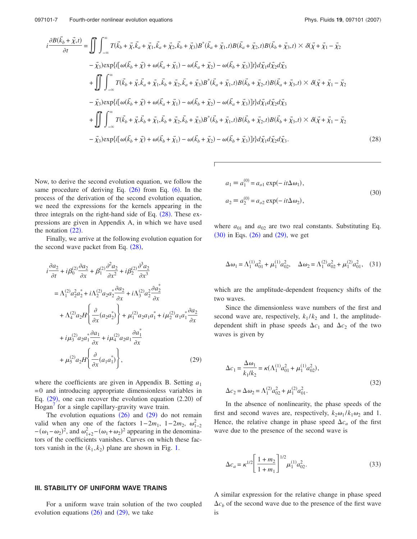*i*

$$
\frac{\partial B(\vec{k}_b + \vec{\chi}, t)}{\partial t} = \iint_{-\infty}^{\infty} T(\vec{k}_b + \vec{\chi}, \vec{k}_a + \vec{\chi}_1, \vec{k}_a + \vec{\chi}_2, \vec{k}_b + \vec{\chi}_3) B^*(\vec{k}_a + \vec{\chi}_1, t) B(\vec{k}_a + \vec{\chi}_2, t) B(\vec{k}_b + \vec{\chi}_3, t) \times \delta(\vec{\chi} + \vec{\chi}_1 - \vec{\chi}_2 - \vec{\chi}_3) \exp\{i[\omega(\vec{k}_b + \vec{\chi}) + \omega(\vec{k}_a + \vec{\chi}_1) - \omega(\vec{k}_a + \vec{\chi}_2) - \omega(\vec{k}_b + \vec{\chi}_3)\}t\} d\vec{\chi}_1 d\vec{\chi}_2 d\vec{\chi}_3
$$
  
+ 
$$
\iint_{-\infty}^{\infty} T(\vec{k}_b + \vec{\chi}, \vec{k}_a + \vec{\chi}_1, \vec{k}_b + \vec{\chi}_2, \vec{k}_a + \vec{\chi}_3) B^*(\vec{k}_a + \vec{\chi}_1, t) B(\vec{k}_b + \vec{\chi}_2, t) B(\vec{k}_a + \vec{\chi}_3, t) \times \delta(\vec{\chi} + \vec{\chi}_1 - \vec{\chi}_2 - \vec{\chi}_3) \exp\{i[\omega(\vec{k}_b + \vec{\chi}) + \omega(\vec{k}_a + \vec{\chi}_1) - \omega(\vec{k}_b + \vec{\chi}_2) - \omega(\vec{k}_a + \vec{\chi}_3)\}t\} d\vec{\chi}_1 d\vec{\chi}_2 d\vec{\chi}_3
$$
  
+ 
$$
\iint_{-\infty}^{\infty} T(\vec{k}_b + \vec{\chi}, \vec{k}_b + \vec{\chi}_1, \vec{k}_b + \vec{\chi}_2, \vec{k}_b + \vec{\chi}_3) B^*(\vec{k}_b + \vec{\chi}_1, t) B(\vec{k}_b + \vec{\chi}_2, t) B(\vec{k}_b + \vec{\chi}_3, t) \times \delta(\vec{\chi} + \vec{\chi}_1 - \vec{\chi}_2 - \vec{\chi}_3) \exp\{i[\omega(\vec{k}_b + \vec{\chi}) + \omega(\vec{k}_b + \vec{\chi}_1) - \omega(\vec{k}_b + \vec{\chi}_2) - \omega(\vec{k}_b + \vec{\chi}_3)\}t\} d\vec{\chi}_1 d\vec{\chi}_2 d\vec{\chi}_3.
$$
(28)

Now, to derive the second evolution equation, we follow the same procedure of deriving Eq.  $(26)$  from Eq.  $(6)$ . In the process of the derivation of the second evolution equation, we need the expressions for the kernels appearing in the three integrals on the right-hand side of Eq.  $(28)$ . These expressions are given in Appendix A, in which we have used the notation  $(22)$ .

Finally, we arrive at the following evolution equation for the second wave packet from Eq.  $(28)$ ,

$$
i\frac{\partial a_2}{\partial t} + i\beta_0^{(2)}\frac{\partial a_2}{\partial x} + \beta_1^{(2)}\frac{\partial^2 a_2}{\partial x^2} + i\beta_2^{(2)}\frac{\partial^3 a_2}{\partial x^3}
$$
  
\n
$$
= \Lambda_1^{(2)}a_2^2a_2^* + i\Lambda_2^{(2)}a_2a_2^*\frac{\partial a_2}{\partial x} + i\Lambda_3^{(2)}a_2^2\frac{\partial a_2^*}{\partial x}
$$
  
\n
$$
+ \Lambda_4^{(2)}a_2H\left\{\frac{\partial}{\partial x}(a_2a_2^*)\right\} + \mu_1^{(2)}a_2a_1a_1^* + i\mu_2^{(2)}a_1a_1^*\frac{\partial a_2}{\partial x}
$$
  
\n
$$
+ i\mu_3^{(2)}a_2a_1^*\frac{\partial a_1}{\partial x} + i\mu_4^{(2)}a_2a_1\frac{\partial a_1^*}{\partial x}
$$
  
\n
$$
+ \mu_5^{(2)}a_2H\left\{\frac{\partial}{\partial x}(a_1a_1^*)\right\},
$$
 (29)

where the coefficients are given in Appendix B. Setting  $a_1$ =0 and introducing appropriate dimensionless variables in Eq.  $(29)$ , one can recover the evolution equation  $(2.20)$  of Hogan<sup>7</sup> for a single capillary-gravity wave train.

The evolution equations  $(26)$  and  $(29)$  do not remain valid when any one of the factors  $1-2m_1$ ,  $1-2m_2$ ,  $\omega_{1-2}^2$  $-(\omega_1 - \omega_2)^2$ , and  $\omega_{1+2}^2 - (\omega_1 + \omega_2)^2$  appearing in the denominators of the coefficients vanishes. Curves on which these factors vanish in the  $(k_1, k_2)$  plane are shown in Fig. 1.

## **III. STABILITY OF UNIFORM WAVE TRAINS**

For a uniform wave train solution of the two coupled evolution equations  $(26)$  and  $(29)$ , we take

$$
a_1 \equiv a_1^{(0)} = a_{o1} \exp(-it\Delta\omega_1),
$$
  
\n
$$
a_2 \equiv a_2^{(0)} = a_{o2} \exp(-it\Delta\omega_2),
$$
\n(30)

where  $a_{01}$  and  $a_{02}$  are two real constants. Substituting Eq.  $(30)$  in Eqs.  $(26)$  and  $(29)$ , we get

$$
\Delta \omega_1 = \Lambda_1^{(1)} a_{01}^2 + \mu_1^{(1)} a_{02}^2, \quad \Delta \omega_2 = \Lambda_1^{(2)} a_{02}^2 + \mu_1^{(2)} a_{01}^2, \quad (31)
$$

which are the amplitude-dependent frequency shifts of the two waves.

Since the dimensionless wave numbers of the first and second wave are, respectively,  $k_1/k_2$  and 1, the amplitudedependent shift in phase speeds  $\Delta c_1$  and  $\Delta c_2$  of the two waves is given by

$$
\Delta c_1 = \frac{\Delta \omega_1}{k_1 / k_2} = \kappa (\Lambda_1^{(1)} a_{01}^2 + \mu_1^{(1)} a_{02}^2),
$$
  

$$
\Delta c_2 = \Delta \omega_2 = \Lambda_1^{(2)} a_{02}^2 + \mu_1^{(2)} a_{01}^2.
$$
 (32)

In the absence of nonlinearity, the phase speeds of the first and second waves are, respectively,  $k_2\omega_1/k_1\omega_2$  and 1. Hence, the relative change in phase speed  $\Delta c_a$  of the first wave due to the presence of the second wave is

$$
\Delta c_a = \kappa^{1/2} \left[ \frac{1 + m_2}{1 + m_1} \right]^{1/2} \mu_1^{(1)} a_{02}^2.
$$
 (33)

A similar expression for the relative change in phase speed  $\Delta c_b$  of the second wave due to the presence of the first wave is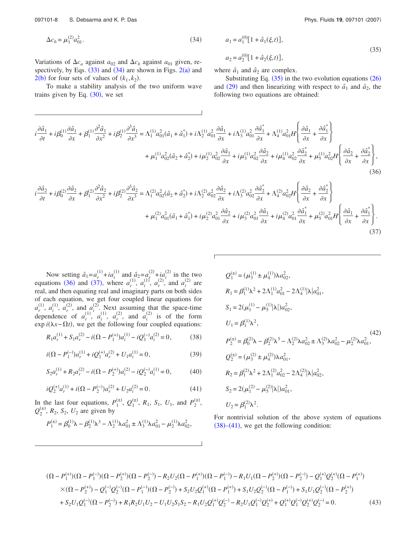$$
\Delta c_b = \mu_1^{(2)} a_{01}^2. \tag{34}
$$

Variations of  $\Delta c_a$  against  $a_{02}$  and  $\Delta c_b$  against  $a_{01}$  given, respectively, by Eqs.  $(33)$  and  $(34)$  are shown in Figs.  $2(a)$  and  $2(b)$  for four sets of values of  $(k_1, k_2)$ .

To make a stability analysis of the two uniform wave trains given by Eq.  $(30)$ , we set

$$
a_1 = a_1^{(0)} [1 + \hat{a}_1(\xi, t)],
$$
  
\n
$$
a_2 = a_2^{(0)} [1 + \hat{a}_2(\xi, t)],
$$
\n(35)

where  $\hat{a}_1$  and  $\hat{a}_2$  are complex.

Substituting Eq.  $(35)$  in the two evolution equations  $(26)$ and (29) and then linearizing with respect to  $\hat{a}_1$  and  $\hat{a}_2$ , the following two equations are obtained:

$$
i\frac{\partial \hat{a}_1}{\partial t} + i\beta_0^{(1)}\frac{\partial \hat{a}_1}{\partial x} + \beta_1^{(1)}\frac{\partial^2 \hat{a}_1}{\partial x^2} + i\beta_2^{(1)}\frac{\partial^3 \hat{a}_1}{\partial x^3} = \Lambda_1^{(1)}a_{01}^2(\hat{a}_1 + \hat{a}_1^*) + i\Lambda_2^{(1)}a_{01}^2\frac{\partial \hat{a}_1}{\partial x} + i\Lambda_3^{(1)}a_{01}^2\frac{\partial \hat{a}_1^*}{\partial x} + \Lambda_4^{(1)}a_{01}^2H\left\{\frac{\partial \hat{a}_1}{\partial x} + \frac{\partial \hat{a}_1^*}{\partial x}\right\}
$$

$$
+ \mu_1^{(1)}a_{02}^2(\hat{a}_2 + \hat{a}_2^*) + i\mu_2^{(1)}a_{02}^2\frac{\partial \hat{a}_1}{\partial x} + i\mu_3^{(1)}a_{02}^2\frac{\partial \hat{a}_2}{\partial x} + i\mu_4^{(1)}a_{02}^2\frac{\partial \hat{a}_2^*}{\partial x} + \mu_5^{(1)}a_{02}^2H\left\{\frac{\partial \hat{a}_2}{\partial x} + \frac{\partial \hat{a}_2^*}{\partial x}\right\},\tag{36}
$$

$$
i\frac{\partial \hat{a}_{2}}{\partial t} + i\beta_{0}^{(2)}\frac{\partial \hat{a}_{2}}{\partial x} + \beta_{1}^{(2)}\frac{\partial^{2} \hat{a}_{2}}{\partial x^{2}} + i\beta_{2}^{(2)}\frac{\partial^{3} \hat{a}_{2}}{\partial x^{3}} = \Lambda_{1}^{(2)}a_{02}^{2}(\hat{a}_{2} + \hat{a}_{2}^{*}) + i\Lambda_{2}^{(2)}a_{02}^{2}\frac{\partial \hat{a}_{2}}{\partial x} + i\Lambda_{3}^{(2)}a_{02}^{2}\frac{\partial \hat{a}_{2}^{*}}{\partial x} + \Lambda_{4}^{(2)}a_{02}^{2}H\left\{\frac{\partial \hat{a}_{2}}{\partial x} + \frac{\partial \hat{a}_{2}^{*}}{\partial x}\right\}\n+ \mu_{1}^{(2)}a_{01}^{2}(\hat{a}_{1} + \hat{a}_{1}^{*}) + i\mu_{2}^{(2)}a_{01}^{2}\frac{\partial \hat{a}_{2}}{\partial x} + i\mu_{3}^{(2)}a_{01}^{2}\frac{\partial \hat{a}_{1}}{\partial x} + i\mu_{4}^{(2)}a_{01}^{2}\frac{\partial \hat{a}_{1}^{*}}{\partial x} + \mu_{5}^{(2)}a_{01}^{2}H\left\{\frac{\partial \hat{a}_{1}}{\partial x} + \frac{\partial \hat{a}_{1}^{*}}{\partial x}\right\}.
$$
\n(37)

Now setting  $\hat{a}_1 = a_r^{(1)} + ia_i^{(1)}$  and  $\hat{a}_2 = a_r^{(2)} + ia_i^{(2)}$  in the two equations (36) and (37), where  $a_r^{(1)}$ ,  $a_i^{(1)}$ ,  $a_r^{(2)}$ , and  $a_i^{(2)}$  are real, and then equating real and imaginary parts on both sides of each equation, we get four coupled linear equations for  $a_r^{(1)}$ ,  $a_i^{(1)}$ ,  $a_r^{(2)}$ , and  $a_i^{(2)}$ . Next assuming that the space-time dependence of  $a_r^{(1)}$ ,  $a_i^{(1)}$ ,  $a_r^{(2)}$ , and  $a_i^{(2)}$  is of the form  $\exp i(\lambda x - \Omega t)$ , we get the following four coupled equations:

$$
R_1 a_r^{(1)} + S_1 a_r^{(2)} - i(\Omega - P_1^{(+)}) a_i^{(1)} - iQ_1^{(-)} a_i^{(2)} = 0,
$$
 (38)

$$
i(\Omega - P_1^{(-)})a_r^{(1)} + iQ_1^{(+)}a_r^{(2)} + U_1a_i^{(1)} = 0,
$$
\n(39)

$$
S_2 a_r^{(1)} + R_2 a_r^{(2)} - i(\Omega - P_2^{(+)}) a_i^{(2)} - iQ_2^{(-)} a_i^{(1)} = 0,
$$
 (40)

$$
iQ_2^{(+)}a_r^{(1)} + i(\Omega - P_2^{(-)})a_r^{(2)} + U_2a_i^{(2)} = 0.
$$
 (41)

In the last four equations,  $P_1^{(\pm)}$ ,  $Q_1^{(\pm)}$ ,  $R_1$ ,  $S_1$ ,  $U_1$ , and  $P_2^{(\pm)}$ ,  $Q_2^{(\pm)}$ ,  $R_2$ ,  $S_2$ ,  $U_2$  are given by

$$
P_1^{(\pm)} = \beta_0^{(1)}\lambda - \beta_2^{(1)}\lambda^3 - \Lambda_2^{(1)}\lambda a_{01}^2 \pm \Lambda_3^{(1)}\lambda a_{01}^2 - \mu_2^{(1)}\lambda a_{02}^2,
$$

$$
Q_1^{(\pm)} = (\mu_3^{(1)} \pm \mu_4^{(1)}) \lambda a_{02}^2,
$$
  
\n
$$
R_1 = \beta_1^{(1)} \lambda^2 + 2\Lambda_1^{(1)} a_{01}^2 - 2\Lambda_4^{(1)} |\lambda| a_{01}^2,
$$
  
\n
$$
S_1 = 2(\mu_1^{(1)} - \mu_5^{(1)} |\lambda|) a_{02}^2,
$$
  
\n
$$
U_1 = \beta_1^{(1)} \lambda^2,
$$
  
\n
$$
P_2^{(\pm)} = \beta_0^{(2)} \lambda - \beta_2^{(2)} \lambda^3 - \Lambda_2^{(2)} \lambda a_{02}^2 \pm \Lambda_3^{(2)} \lambda a_{02}^2 - \mu_2^{(2)} \lambda a_{01}^2,
$$
  
\n
$$
Q_2^{(\pm)} = (\mu_3^{(2)} \pm \mu_4^{(2)}) \lambda a_{01}^2,
$$
  
\n
$$
R_2 = \beta_1^{(2)} \lambda^2 + 2\Lambda_1^{(2)} a_{02}^2 - 2\Lambda_4^{(2)} |\lambda| a_{02}^2,
$$
  
\n
$$
S_2 = 2(\mu_1^{(2)} - \mu_5^{(2)} |\lambda|) a_{01}^2,
$$
  
\n
$$
U_2 = \beta_1^{(2)} \lambda^2.
$$

For nontrivial solution of the above system of equations  $(38)$ – $(41)$ , we get the following condition:

$$
\begin{split} (\Omega - P_1^{(+)})(\Omega - P_1^{(-)}) (\Omega - P_2^{(+)})(\Omega - P_2^{(-)}) - R_2 U_2 (\Omega - P_1^{(+)})(\Omega - P_1^{(-)}) - R_1 U_1 (\Omega - P_2^{(+)})(\Omega - P_2^{(-)}) - Q_1^{(+)} Q_2^{(+)} (\Omega - P_1^{(+)}) \\ \times (\Omega - P_2^{(+)}) - Q_1^{(-)} Q_2^{(-)} (\Omega - P_1^{(-)}) (\Omega - P_2^{(-)}) + S_2 U_2 Q_1^{(+)} (\Omega - P_1^{(+)}) + S_1 U_2 Q_2^{(-)} (\Omega - P_1^{(-)}) + S_1 U_1 Q_2^{(-)} (\Omega - P_2^{(+)}) \\ + S_2 U_1 Q_1^{(-)} (\Omega - P_2^{(-)}) + R_1 R_2 U_1 U_2 - U_1 U_2 S_1 S_2 - R_1 U_2 Q_1^{(+)} Q_2^{(-)} - R_2 U_1 Q_1^{(-)} Q_2^{(+)} + Q_1^{(+)} Q_1^{(-)} Q_2^{(+)} Q_2^{(-)} = 0. \end{split} \tag{43}
$$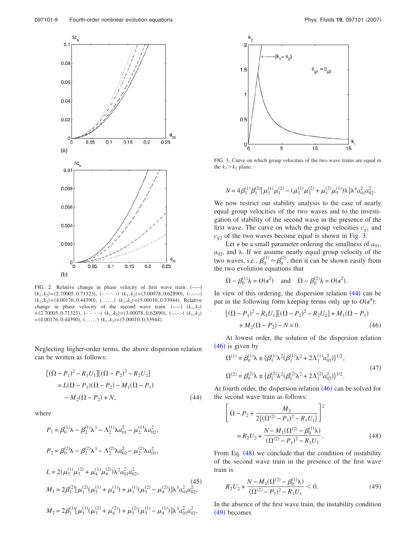

FIG. 2. Relative change in phase velocity of first wave train: (---)  $(k_1, k_2) = (2.70005, 0.71323), (- - - -) (k_1, k_2) = (3.00078, 0.62890), (- - - -)$  $(k_1, k_2) = (4.00176, 0.44390), \ldots$   $(k_1, k_2) = (5.00010, 0.33944)$ . Relative change in phase velocity of the second wave train:  $(-)$   $(k_1, k_2)$  $=(2.70005, 0.71323), (- - - -)$   $(k_1, k_2) = (3.00078, 0.62890), (- - -)$   $(k_1, k_2)$  $=(4.00176, 0.44390), (\dots)$   $(k_1, k_2) = (5.00010, 0.33944).$ 

Neglecting higher-order terms, the above dispersion relation can be written as follows:

$$
[(\Omega - P_1)^2 - R_1 U_1][(\Omega - P_2)^2 - R_2 U_2]
$$
  
=  $L(\Omega - P_1)(\Omega - P_2) - M_1(\Omega - P_1)$   
 $- M_2(\Omega - P_2) + N,$  (44)

where

$$
P_1 = \beta_0^{(1)} \lambda - \beta_2^{(1)} \lambda^3 - \Lambda_2^{(1)} \lambda a_{01}^2 - \mu_2^{(1)} \lambda a_{02}^2,
$$
  
\n
$$
P_2 = \beta_0^{(2)} \lambda - \beta_2^{(2)} \lambda^3 - \Lambda_2^{(2)} \lambda a_{02}^2 - \mu_2^{(2)} \lambda a_{01}^2,
$$
  
\n
$$
L = 2(\mu_3^{(1)} \mu_3^{(2)} + \mu_4^{(1)} \mu_4^{(2)}) \lambda^2 a_{01}^2 a_{02}^2,
$$
  
\n
$$
M_1 = 2\beta_1^{(2)} [\mu_1^{(2)} (\mu_3^{(1)} + \mu_4^{(1)}) + \mu_1^{(1)} (\mu_3^{(2)} - \mu_4^{(2)})] \lambda^3 a_{01}^2 a_{02}^2,
$$
  
\n
$$
M_2 = 2\beta_1^{(1)} [\mu_1^{(1)} (\mu_3^{(2)} + \mu_4^{(2)}) + \mu_1^{(2)} (\mu_3^{(1)} - \mu_4^{(1)})] \lambda^3 a_{01}^2 a_{02}^2,
$$



FIG. 3. Curve on which group velocities of the two wave trains are equal in the  $k_1 > k_2$  plane.

$$
N=4\beta_1^{(1)}\beta_1^{(2)}[\mu_1^{(1)}\mu_1^{(2)}-(\mu_1^{(1)}\mu_5^{(2)}+\mu_1^{(2)}\mu_5^{(1)})\lambda]\lambda^4a_{01}^2a_{02}^2.
$$

We now restrict our stability analysis to the case of nearly equal group velocities of the two waves and to the investigation of stability of the second wave in the presence of the first wave. The curve on which the group velocities  $c_{g1}$  and  $c_{g2}$  of the two waves become equal is shown in Fig. 3.

Let  $\epsilon$  be a small parameter ordering the smallness of  $a_{01}$ ,  $a_{02}$ , and  $\lambda$ . If we assume nearly equal group velocity of the two waves, i.e.,  $\beta_0^{(1)} \approx \beta_0^{(2)}$ , then it can be shown easily from the two evolution equations that

$$
\Omega - \beta_0^{(1)} \lambda = O(\epsilon^2) \quad \text{and} \quad \Omega - \beta_0^{(2)} \lambda = O(\epsilon^2).
$$

In view of this ordering, the dispersion relation  $(44)$  can be put in the following form keeping terms only up to  $O(\epsilon^9)$ :

$$
[(\Omega - P_1)^2 - R_1 U_1][(\Omega - P_2)^2 - R_2 U_2] + M_1(\Omega - P_1)
$$
  
+  $M_2(\Omega - P_2) - N = 0.$  (46)

At lowest order, the solution of the dispersion relation  $(46)$  is given by

$$
\Omega^{(1)} = \beta_0^{(1)} \lambda \pm \{ \beta_1^{(1)} \lambda^2 (\beta_1^{(1)} \lambda^2 + 2 \Lambda_1^{(1)} a_{01}^2) \}^{1/2},
$$
  
\n
$$
\Omega^{(2)} = \beta_0^{(2)} \lambda \pm \{ \beta_1^{(2)} \lambda^2 (\beta_1^{(2)} \lambda^2 + 2 \Lambda_1^{(2)} a_{02}^2) \}^{1/2}.
$$
\n(47)

At fourth order, the dispersion relation  $(46)$  can be solved for the second wave train as follows:

$$
\left[\Omega - P_2 + \frac{M_2}{2\{(\Omega^{(2)} - P_1)^2 - R_1 U_1\}}\right]^2
$$
  
=  $R_2 U_2 + \frac{N - M_1(\Omega^{(2)} - \beta_0^{(1)}\lambda)}{(\Omega^{(2)} - P_1)^2 - R_1 U_1}.$  (48)

From Eq. (48) we conclude that the condition of instability of the second wave train in the presence of the first wave train is

$$
R_2 U_2 + \frac{N - M_1(\Omega^{(2)} - \beta_0^{(1)}\lambda)}{(\Omega^{(2)} - P_1)^2 - R_1 U_1} < 0. \tag{49}
$$

In the absence of the first wave train, the instability condition  $(49)$  becomes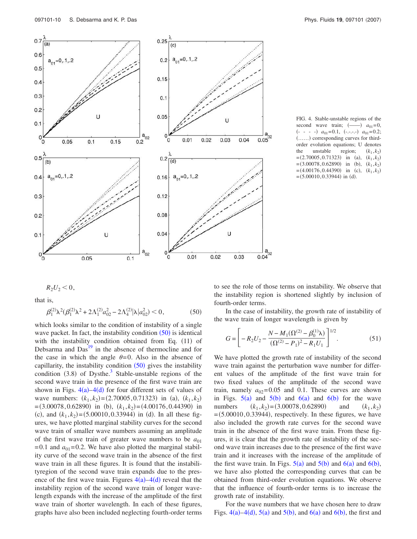

FIG. 4. Stable-unstable regions of the second wave train;  $(\_\_) a_{01} = 0$ ,  $(- - - -)$   $a_{01} = 0.1$ ,  $(- - - -)$   $a_{01} = 0.2$ ; (......) corresponding curves for thirdorder evolution equations; U denotes the unstable region;  $(k_2)$  $=(2.70005, 0.71323)$  in (a),  $(k_1, k_2)$  $=(3.00078, 0.62890)$  in (b),  $(k_1, k_2)$  $=(4.00176, 0.44390)$  in (c),  $(k_1, k_2)$  $=(5.00010, 0.33944)$  in (d).

$$
R_2U_2<0,
$$

that is,

$$
\beta_1^{(2)}\lambda^2(\beta_1^{(2)}\lambda^2 + 2\Lambda_1^{(2)}a_{02}^2 - 2\Lambda_4^{(2)}|\lambda|a_{02}^2) < 0,\tag{50}
$$

which looks similar to the condition of instability of a single wave packet. In fact, the instability condition  $(50)$  is identical with the instability condition obtained from Eq.  $(11)$  of Debsarma and  $Das<sup>19</sup>$  in the absence of thermocline and for the case in which the angle  $\theta=0$ . Also in the absence of capillarity, the instability condition  $(50)$  gives the instability condition  $(3.8)$  of Dysthe.<sup>3</sup> Stable-unstable regions of the second wave train in the presence of the first wave train are shown in Figs.  $4(a) - 4(d)$  for four different sets of values of wave numbers:  $(k_1, k_2) = (2.70005, 0.71323)$  in (a),  $(k_1, k_2)$  $=(3.00078, 0.62890)$  in (b),  $(k_1, k_2) = (4.00176, 0.44390)$  in (c), and  $(k_1, k_2) = (5.00010, 0.33944)$  in (d). In all these figures, we have plotted marginal stability curves for the second wave train of smaller wave numbers assuming an amplitude of the first wave train of greater wave numbers to be  $a_{01}$  $=0.1$  and  $a_{01} = 0.2$ . We have also plotted the marginal stability curve of the second wave train in the absence of the first wave train in all these figures. It is found that the instabilityregion of the second wave train expands due to the presence of the first wave train. Figures  $4(a) - 4(d)$  reveal that the instability region of the second wave train of longer wavelength expands with the increase of the amplitude of the first wave train of shorter wavelength. In each of these figures, graphs have also been included neglecting fourth-order terms to see the role of those terms on instability. We observe that the instability region is shortened slightly by inclusion of fourth-order terms.

In the case of instability, the growth rate of instability of the wave train of longer wavelength is given by

$$
G = \left[ -R_2 U_2 - \frac{N - M_1(\Omega^{(2)} - \beta_0^{(1)}\lambda)}{(\Omega^{(2)} - P_1)^2 - R_1 U_1} \right]^{1/2}.
$$
 (51)

We have plotted the growth rate of instability of the second wave train against the perturbation wave number for different values of the amplitude of the first wave train for two fixed values of the amplitude of the second wave train, namely  $a_{02}=0.05$  and 0.1. These curves are shown in Figs.  $5(a)$  and  $5(b)$  and  $6(a)$  and  $6(b)$  for the wave numbers *k*<sup>1</sup>  $(k_2)$  = (3.00078, 0.62890) and *k*<sup>1</sup>  $,k_2)$  $=(5.00010, 0.33944)$ , respectively. In these figures, we have also included the growth rate curves for the second wave train in the absence of the first wave train. From these figures, it is clear that the growth rate of instability of the second wave train increases due to the presence of the first wave train and it increases with the increase of the amplitude of the first wave train. In Figs.  $5(a)$  and  $5(b)$  and  $6(a)$  and  $6(b)$ , we have also plotted the corresponding curves that can be obtained from third-order evolution equations. We observe that the influence of fourth-order terms is to increase the growth rate of instability.

For the wave numbers that we have chosen here to draw Figs.  $4(a) - 4(d)$ ,  $5(a)$  and  $5(b)$ , and  $6(a)$  and  $6(b)$ , the first and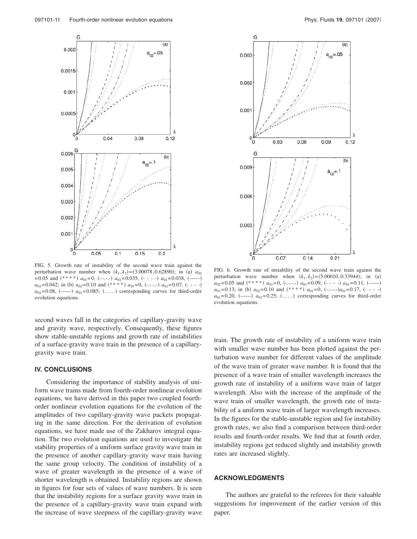

FIG. 5. Growth rate of instability of the second wave train against the perturbation wave number when  $(k_1, k_2) = (3.00078, 0.62890)$ ; in (a)  $a_{02}$  $a_{01} = 0.05$  and  $(****)$   $a_{01} = 0$ ,  $(-,-,-)$   $a_{01} = 0.035$ ,  $(-,-,-)$   $a_{01} = 0.038$ ,  $(-,-)$ <br> $a_{01} = 0.042$ ; in (b)  $a_{02} = 0.10$  and  $(****)$   $a_{01} = 0$ ,  $(-,-,-)$   $a_{01} = 0.07$ ,  $(-,-)$  $a_{01} = 0.08, \, \, \text{(---)}$   $a_{01} = 0.085; \, \, \text{(......)}$  corresponding curves for third-order evolution equations.

second waves fall in the categories of capillary-gravity wave and gravity wave, respectively. Consequently, these figures show stable-unstable regions and growth rate of instabilities of a surface-gravity wave train in the presence of a capillarygravity wave train.

#### **IV. CONCLUSIONS**

Considering the importance of stability analysis of uniform wave trains made from fourth-order nonlinear evolution equations, we have derived in this paper two coupled fourthorder nonlinear evolution equations for the evolution of the amplitudes of two capillary-gravity wave packets propagating in the same direction. For the derivation of evolution equations, we have made use of the Zakharov integral equation. The two evolution equations are used to investigate the stability properties of a uniform surface gravity wave train in the presence of another capillary-gravity wave train having the same group velocity. The condition of instability of a wave of greater wavelength in the presence of a wave of shorter wavelength is obtained. Instability regions are shown in figures for four sets of values of wave numbers. It is seen that the instability regions for a surface gravity wave train in the presence of a capillary-gravity wave train expand with the increase of wave steepness of the capillary-gravity wave



FIG. 6. Growth rate of instability of the second wave train against the perturbation wave number when  $(k_1, k_2) = (5.00010, 0.33944)$ ; in (a)  $a_{02}=0.05$  and  $(****)$   $a_{01}=0$ ,  $(----)$   $a_{01}=0.09$ ,  $(----)$   $a_{01}=0.11$ ,  $(---)$  $a_{01} = 0.13$ ; in (b)  $a_{02} = 0.10$  and (\*\*\*\*)  $a_{01} = 0$ , (-.-.-.) $a_{01} = 0.17$ , (- - - -)  $a_{01} = 0.20$ , ( $\dots$ )  $a_{01} = 0.25$ ; (......) corresponding curves for third-order evolution equations.

train. The growth rate of instability of a uniform wave train with smaller wave number has been plotted against the perturbation wave number for different values of the amplitude of the wave train of greater wave number. It is found that the presence of a wave train of smaller wavelength increases the growth rate of instability of a uniform wave train of larger wavelength. Also with the increase of the amplitude of the wave train of smaller wavelength, the growth rate of instability of a uniform wave train of larger wavelength increases. In the figures for the stable-unstable region and for instability growth rates, we also find a comparison between third-order results and fourth-order results. We find that at fourth order, instability regions get reduced slightly and instability growth rates are increased slightly.

#### **ACKNOWLEDGMENTS**

The authors are grateful to the referees for their valuable suggestions for improvement of the earlier version of this paper.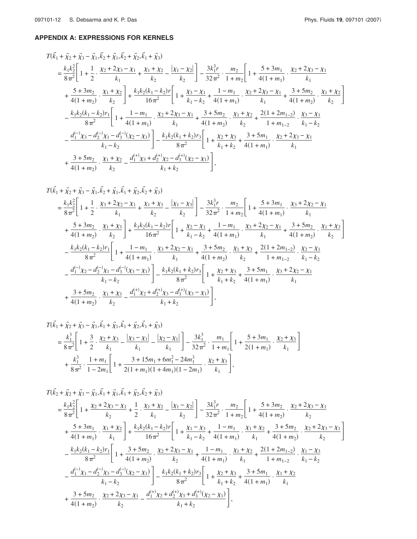# **APPENDIX A: EXPRESSIONS FOR KERNELS**

$$
T(\vec{k}_1 + \vec{\chi}_2 + \vec{\chi}_3 - \vec{\chi}_1, \vec{k}_2 + \vec{\chi}_1, \vec{k}_2 + \vec{\chi}_2, \vec{k}_1 + \vec{\chi}_3)
$$
\n
$$
= \frac{k_1 k_2^2}{8 \pi^2} \left[ 1 + \frac{1}{2} \cdot \frac{\chi_2 + 2\chi_3 - \chi_1}{k_1} + \frac{\chi_1 + \chi_2}{k_2} - \frac{|\chi_1 - \chi_2|}{k_2} \right] - \frac{3k_1^3 r}{32 \pi^2} \cdot \frac{m_2}{1 + m_2} \left[ 1 + \frac{5 + 3m_1}{4(1 + m_1)} \cdot \frac{\chi_2 + 2\chi_3 - \chi_1}{k_1} + \frac{5 + 3m_2}{4(1 + m_2)} \cdot \frac{\chi_1 + \chi_2}{k_2} \right] + \frac{k_1 k_2 (k_1 - k_2) r}{16 \pi^2} \left[ 1 + \frac{\chi_3 - \chi_1}{k_1 - k_2} + \frac{1 - m_1}{4(1 + m_1)} \cdot \frac{\chi_2 + 2\chi_3 - \chi_1}{k_1} + \frac{3 + 5m_2}{4(1 + m_2)} \cdot \frac{\chi_1 + \chi_2}{k_2} \right]
$$
\n
$$
- \frac{k_1 k_2 (k_1 - k_2) r_1}{8 \pi^2} \left[ 1 + \frac{1 - m_1}{4(1 + m_1)} \cdot \frac{\chi_2 + 2\chi_3 - \chi_1}{k_1} + \frac{3 + 5m_2}{4(1 + m_2)} \cdot \frac{\chi_1 + \chi_2}{k_2} + \frac{2(1 + 2m_{1-2})}{1 + m_{1-2}} \cdot \frac{\chi_3 - \chi_1}{k_1 - k_2} + \frac{d_1^2 \chi_3 - d_2^2 \chi_1 - d_3^2 (\chi_2 - \chi_1)}{k_1 - k_2} \right] - \frac{k_1 k_2 (k_1 + k_2) r_3}{8 \pi^2} \left[ 1 + \frac{\chi_2 + \chi_3}{k_1 + k_2} + \frac{3 + 5m_1}{4(1 + m_1)} \cdot \frac{\chi_2 + 2\chi_3 - \chi_1}{k_1 - k_2} + \
$$

$$
T(\vec{k}_1 + \vec{\chi}_2 + \vec{\chi}_3 - \vec{\chi}_1, \vec{k}_2 + \vec{\chi}_1, \vec{k}_1 + \vec{\chi}_2, \vec{k}_2 + \vec{\chi}_3)
$$
\n
$$
= \frac{k_1 k_2^2}{8 \pi^2} \left[ 1 + \frac{1}{2} \cdot \frac{\chi_3 + 2\chi_2 - \chi_1}{k_1} + \frac{\chi_1 + \chi_3}{k_2} - \frac{|\chi_1 - \chi_3|}{k_2} \right] - \frac{3k_1^3 r}{32 \pi^2} \cdot \frac{m_2}{1 + m_2} \left[ 1 + \frac{5 + 3m_1}{4(1 + m_1)} \cdot \frac{\chi_3 + 2\chi_2 - \chi_1}{k_1} + \frac{5 + 3m_2}{4(1 + m_2)} \cdot \frac{\chi_1 + \chi_3}{k_2} \right] + \frac{k_1 k_2 (k_1 - k_2) r}{16 \pi^2} \left[ 1 + \frac{\chi_2 - \chi_1}{k_1 - k_2} + \frac{1 - m_1}{4(1 + m_1)} \cdot \frac{\chi_3 + 2\chi_2 - \chi_1}{k_1} + \frac{3 + 5m_2}{4(1 + m_2)} \cdot \frac{\chi_1 + \chi_3}{k_2} \right]
$$
\n
$$
- \frac{k_1 k_2 (k_1 - k_2) r_1}{8 \pi^2} \left[ 1 + \frac{1 - m_1}{4(1 + m_1)} \cdot \frac{\chi_3 + 2\chi_2 - \chi_1}{k_1} + \frac{3 + 5m_2}{4(1 + m_2)} \cdot \frac{\chi_1 + \chi_3}{k_2} + \frac{2(1 + 2m_{1-2})}{1 + m_{1-2}} \cdot \frac{\chi_2 - \chi_1}{k_1 - k_2} + \frac{d_1^2 \chi_2 - d_2^2 \chi_1 - d_3^2 (\chi_3 - \chi_1)}{k_1 - k_2} \right] - \frac{k_1 k_2 (k_1 + k_2) r_3}{8 \pi^2} \left[ 1 + \frac{\chi_2 + \chi_3}{k_1 + k_2} + \frac{3 + 5m_1}{4(1 + m_1)} \cdot \frac{\chi_3 + 2\chi_2 - \chi_1}{k_1 - k_2} + \
$$

$$
T(\vec{k}_1 + \vec{\chi}_2 + \vec{\chi}_3 - \vec{\chi}_1, \vec{k}_1 + \vec{\chi}_1, \vec{k}_1 + \vec{\chi}_2, \vec{k}_1 + \vec{\chi}_3)
$$
  
=  $\frac{k_1^3}{8\pi^2} \left[ 1 + \frac{3}{2} \cdot \frac{\chi_2 + \chi_3}{k_1} - \frac{|\chi_3 - \chi_1|}{k_1} - \frac{|\chi_2 - \chi_1|}{k_1} \right] - \frac{3k_1^3}{32\pi^2} \cdot \frac{m_1}{1 + m_1} \left[ 1 + \frac{5 + 3m_1}{2(1 + m_1)} \cdot \frac{\chi_2 + \chi_3}{k_1} \right] + \frac{k_1^3}{8\pi^2} \cdot \frac{1 + m_1}{1 - 2m_1} \left[ 1 + \frac{3 + 15m_1 + 6m_1^2 - 24m_1^3}{2(1 + m_1)(1 + 4m_1)(1 - 2m_1)} \cdot \frac{\chi_2 + \chi_3}{k_1} \right],$ 

$$
T(\vec{k}_{2} + \vec{\chi}_{2} + \vec{\chi}_{3} - \vec{\chi}_{1}, \vec{k}_{1} + \vec{\chi}_{1}, \vec{k}_{1} + \vec{\chi}_{2}, \vec{k}_{2} + \vec{\chi}_{3})
$$
\n
$$
= \frac{k_{1}k_{2}^{2}}{8\pi^{2}} \left[ 1 + \frac{\chi_{2} + 2\chi_{3} - \chi_{1}}{k_{2}} + \frac{1}{2} \cdot \frac{\chi_{1} + \chi_{2}}{k_{1}} - \frac{|\chi_{1} - \chi_{2}|}{k_{2}} \right] - \frac{3k_{1}^{3}r}{32\pi^{2}} \cdot \frac{m_{2}}{1 + m_{2}} \left[ 1 + \frac{5 + 3m_{2}}{4(1 + m_{2})} \cdot \frac{\chi_{2} + 2\chi_{3} - \chi_{1}}{k_{2}} + \frac{5 + 3m_{1}}{4(1 + m_{1})} \cdot \frac{\chi_{1} + \chi_{2}}{k_{1}} \right] + \frac{k_{1}k_{2}(k_{1} - k_{2})r}{16\pi^{2}} \left[ 1 + \frac{\chi_{1} - \chi_{3}}{k_{1} - k_{2}} + \frac{1 - m_{1}}{4(1 + m_{1})} \cdot \frac{\chi_{1} + \chi_{2}}{k_{1}} + \frac{3 + 5m_{2}}{4(1 + m_{2})} \cdot \frac{\chi_{2} + 2\chi_{3} - \chi_{1}}{k_{2}} \right]
$$
\n
$$
- \frac{k_{1}k_{2}(k_{1} - k_{2})r_{1}}{8\pi^{2}} \left[ 1 + \frac{3 + 5m_{2}}{4(1 + m_{2})} \cdot \frac{\chi_{2} + 2\chi_{3} - \chi_{1}}{k_{2}} + \frac{1 - m_{1}}{4(1 + m_{1})} \cdot \frac{\chi_{1} + \chi_{2}}{k_{1}} + \frac{2(1 + 2m_{1-2})}{1 + m_{1-2}} \cdot \frac{\chi_{1} - \chi_{3}}{k_{1} - k_{2}} - \frac{d_{1}^{(-)}\chi_{1} - d_{2}^{(-)}\chi_{3} - d_{3}^{(-)}(\chi_{2} - \chi_{1})}{k_{1} - k_{2}} \right] - \frac{k_{1}k_{2}(k_{1} + k_{2})r_{3}}{8\pi^{2}} \left[ 1 + \
$$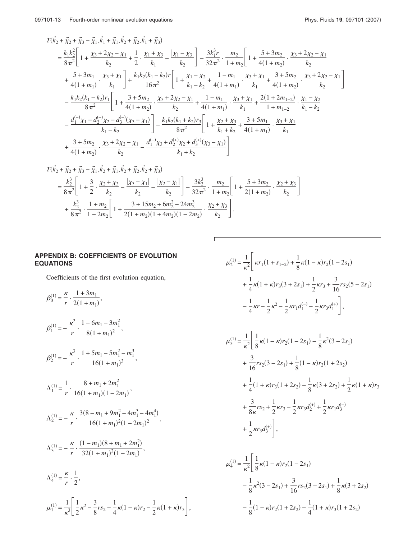$$
T(\vec{k}_{2} + \vec{\chi}_{2} + \vec{\chi}_{3} - \vec{\chi}_{1}, \vec{k}_{1} + \vec{\chi}_{1}, \vec{k}_{2} + \vec{\chi}_{2}, \vec{k}_{1} + \vec{\chi}_{3})
$$
\n
$$
= \frac{k_{1}k_{2}^{2}}{8\pi^{2}} \left[ 1 + \frac{\chi_{3} + 2\chi_{2} - \chi_{1}}{k_{2}} + \frac{1}{2} \cdot \frac{\chi_{1} + \chi_{3}}{k_{1}} - \frac{|\chi_{1} - \chi_{3}|}{k_{2}} \right] - \frac{3k_{1}^{3}r}{32\pi^{2}} \cdot \frac{m_{2}}{1 + m_{2}} \left[ 1 + \frac{5 + 3m_{2}}{4(1 + m_{2})} \cdot \frac{\chi_{3} + 2\chi_{2} - \chi_{1}}{k_{2}} + \frac{5 + 3m_{1}}{4(1 + m_{1})} \cdot \frac{\chi_{3} + \chi_{1}}{k_{1}} \right] + \frac{k_{1}k_{2}(k_{1} - k_{2})r}{16\pi^{2}} \left[ 1 + \frac{\chi_{1} - \chi_{2}}{k_{1} - k_{2}} + \frac{1 - m_{1}}{4(1 + m_{1})} \cdot \frac{\chi_{3} + \chi_{1}}{k_{1}} + \frac{3 + 5m_{2}}{4(1 + m_{2})} \cdot \frac{\chi_{3} + 2\chi_{2} - \chi_{1}}{k_{2}} \right]
$$
\n
$$
- \frac{k_{1}k_{2}(k_{1} - k_{2})r_{1}}{8\pi^{2}} \left[ 1 + \frac{3 + 5m_{2}}{4(1 + m_{2})} \cdot \frac{\chi_{3} + 2\chi_{2} - \chi_{1}}{k_{2}} + \frac{1 - m_{1}}{4(1 + m_{1})} \cdot \frac{\chi_{3} + \chi_{1}}{k_{1}} + \frac{2(1 + 2m_{1-2})}{1 + m_{1-2}} \cdot \frac{\chi_{1} - \chi_{2}}{k_{1} - k_{2}} - \frac{d_{1}^{(-)}\chi_{1} - d_{2}^{(-)}\chi_{2} - d_{3}^{(-)}(\chi_{3} - \chi_{1})}{k_{1} - k_{2}} \right] - \frac{k_{1}k_{2}(k_{1} + k_{2})r_{3}}{8\pi^{2}} \left[ 1 + \
$$

 $\overline{1}$ 

$$
T(\vec{k}_2 + \vec{\chi}_2 + \vec{\chi}_3 - \vec{\chi}_1, \vec{k}_2 + \vec{\chi}_1, \vec{k}_2 + \vec{\chi}_2, \vec{k}_2 + \vec{\chi}_3)
$$
  
=  $\frac{k_2^3}{8\pi^2} \bigg[ 1 + \frac{3}{2} \cdot \frac{\chi_2 + \chi_3}{k_2} - \frac{|\chi_3 - \chi_1|}{k_2} - \frac{|\chi_2 - \chi_1|}{k_2} \bigg] - \frac{3k_2^3}{32\pi^2} \cdot \frac{m_2}{1 + m_2} \bigg[ 1 + \frac{5 + 3m_2}{2(1 + m_2)} \cdot \frac{\chi_2 + \chi_3}{k_2} \bigg] + \frac{k_2^3}{8\pi^2} \cdot \frac{1 + m_2}{1 - 2m_2} \bigg[ 1 + \frac{3 + 15m_2 + 6m_2^2 - 24m_2^3}{2(1 + m_2)(1 + 4m_2)(1 - 2m_2)} \cdot \frac{\chi_2 + \chi_3}{k_2} \bigg].$ 

## **APPENDIX B: COEFFICIENTS OF EVOLUTION EQUATIONS**

Coefficients of the first evolution equation,

$$
\beta_0^{(1)} = \frac{\kappa}{r} \cdot \frac{1 + 3m_1}{2(1 + m_1)},
$$
  
\n
$$
\beta_1^{(1)} = -\frac{\kappa^2}{r} \cdot \frac{1 - 6m_1 - 3m_1^2}{8(1 + m_1)^2},
$$
  
\n
$$
\beta_2^{(1)} = -\frac{\kappa^3}{r} \cdot \frac{1 + 5m_1 - 5m_1^2 - m_1^3}{16(1 + m_1)^3},
$$
  
\n
$$
\Lambda_1^{(1)} = \frac{1}{r} \cdot \frac{8 + m_1 + 2m_1^2}{16(1 + m_1)(1 - 2m_1)},
$$
  
\n
$$
\Lambda_2^{(1)} = -\frac{\kappa}{r} \cdot \frac{3(8 - m_1 + 9m_1^2 - 4m_1^3 - 4m_1^4)}{16(1 + m_1)^2(1 - 2m_1)^2},
$$
  
\n
$$
\Lambda_3^{(1)} = -\frac{\kappa}{r} \cdot \frac{(1 - m_1)(8 + m_1 + 2m_1^2)}{32(1 + m_1)^2(1 - 2m_1)},
$$
  
\n
$$
\Lambda_4^{(1)} = \frac{\kappa}{r} \cdot \frac{1}{2},
$$
  
\n
$$
\mu_1^{(1)} = \frac{1}{\kappa^3} \left[ \frac{1}{2} \kappa^2 - \frac{3}{8} r s_2 - \frac{1}{4} \kappa (1 - \kappa) r_2 - \frac{1}{2} \kappa (1 + \kappa) r_3 \right],
$$

$$
\mu_2^{(1)} = \frac{1}{\kappa^2} \left[ \kappa r_1 (1 + s_{1-2}) + \frac{1}{8} \kappa (1 - \kappa) r_2 (1 - 2s_1) + \frac{1}{4} \kappa (1 + \kappa) r_3 (3 + 2s_1) + \frac{1}{2} \kappa r_3 + \frac{3}{16} r s_2 (5 - 2s_1) - \frac{1}{4} \kappa r - \frac{1}{2} \kappa^2 - \frac{1}{2} \kappa r_1 d_1^{(-)} - \frac{1}{2} \kappa r_3 d_1^{(+)} \right],
$$

$$
\mu_3^{(1)} = \frac{1}{\kappa^2} \left[ \frac{1}{8} \kappa (1 - \kappa) r_2 (1 - 2s_1) - \frac{1}{8} \kappa^2 (3 - 2s_1) + \frac{3}{16} r s_2 (3 - 2s_1) + \frac{1}{8} (1 - \kappa) r_2 (1 + 2s_2) + \frac{1}{4} (1 + \kappa) r_3 (1 + 2s_2) - \frac{1}{8} \kappa (3 + 2s_2) + \frac{1}{2} \kappa (1 + \kappa) r_3 + \frac{3}{8\kappa} r s_2 + \frac{1}{2} \kappa r_3 - \frac{1}{2} \kappa r_3 d_2^{(+)} + \frac{1}{2} \kappa r_1 d_3^{(-)}
$$
  
+ 
$$
\frac{1}{2} \kappa r_3 d_3^{(+)} \right],
$$

$$
\mu_4^{(1)} = \frac{1}{\kappa^2} \left[ \frac{1}{8} \kappa (1 - \kappa) r_2 (1 - 2s_1) - \frac{1}{8} \kappa^2 (3 - 2s_1) + \frac{3}{16} r s_2 (3 - 2s_1) + \frac{1}{8} \kappa (3 + 2s_2) - \frac{1}{8} (1 - \kappa) r_2 (1 + 2s_2) - \frac{1}{4} (1 + \kappa) r_3 (1 + 2s_2) \right]
$$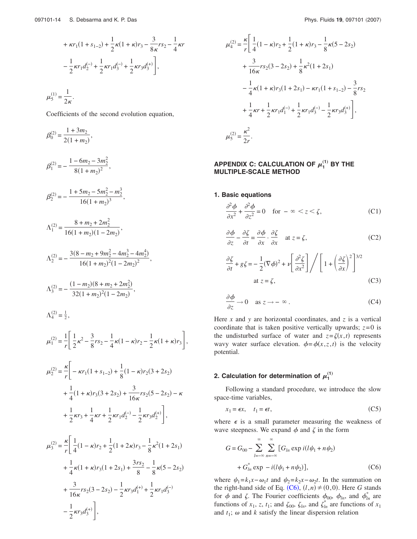$\mu_5^{(1)} = \frac{1}{2}$  $\frac{1}{2\kappa}$ .

Coefficients of the second evolution equation,

$$
\beta_0^{(2)} = \frac{1 + 3m_2}{2(1 + m_2)},
$$
  

$$
\beta_1^{(2)} = -\frac{1 - 6m_2 - 3m_2^2}{8(1 + m_2)^2},
$$

$$
\beta_2^{(2)} = -\frac{1 + 5m_2 - 5m_2^2 - m_2^3}{16(1 + m_2)^3},
$$

 $\frac{2}{8(1+m_2)^2},$ 

$$
\Lambda_1^{(2)} = \frac{8 + m_2 + 2m_2^2}{16(1 + m_2)(1 - 2m_2)},
$$

$$
\Lambda_2^{(2)} = -\frac{3(8-m_2+9m_2^2-4m_2^3-4m_2^4)}{16(1+m_2)^2(1-2m_2)^2},
$$

$$
\Lambda_3^{(2)} = -\frac{(1-m_2)(8+m_2+2m_2^2)}{32(1+m_2)^2(1-2m_2)},
$$

 $\Lambda_4^{(2)} = \frac{1}{2},$ 

$$
\mu_1^{(2)} = \frac{1}{r} \left[ \frac{1}{2} \kappa^2 - \frac{3}{8} r s_2 - \frac{1}{4} \kappa (1 - \kappa) r_2 - \frac{1}{2} \kappa (1 + \kappa) r_3 \right],
$$

$$
\mu_2^{(2)} = \frac{\kappa}{r} \Bigg[ -\kappa r_1 (1 + s_{1-2}) + \frac{1}{8} (1 - \kappa) r_2 (3 + 2s_2)
$$
  
+ 
$$
\frac{1}{4} (1 + \kappa) r_3 (3 + 2s_2) + \frac{3}{16\kappa} r_3 (5 - 2s_2) - \kappa
$$
  
+ 
$$
\frac{1}{2} \kappa r_3 + \frac{1}{4} \kappa r_3 + \frac{1}{2} \kappa r_1 d_2^{(-)} - \frac{1}{2} \kappa r_3 d_2^{(+)} \Bigg],
$$

$$
\mu_3^{(2)} = \frac{\kappa}{r} \left[ \frac{1}{4} (1 - \kappa) r_2 + \frac{1}{2} (1 + 2\kappa) r_3 - \frac{1}{8} \kappa^2 (1 + 2s_1) + \frac{1}{4} \kappa (1 + \kappa) r_3 (1 + 2s_1) + \frac{3rs_2}{8} - \frac{1}{8} \kappa (5 - 2s_2) + \frac{3}{16\kappa} r s_2 (3 - 2s_2) - \frac{1}{2} \kappa r_3 d_1^{(+)} + \frac{1}{2} \kappa r_1 d_3^{(-)} - \frac{1}{2} \kappa r_3 d_3^{(+)} \right],
$$

$$
\mu_4^{(2)} = \frac{\kappa}{r} \left[ \frac{1}{4} (1 - \kappa) r_2 + \frac{1}{2} (1 + \kappa) r_3 - \frac{1}{8} \kappa (5 - 2s_2) + \frac{3}{16 \kappa} r s_2 (3 - 2s_2) + \frac{1}{8} \kappa^2 (1 + 2s_1) - \frac{1}{4} \kappa (1 + \kappa) r_3 (1 + 2s_1) - \kappa r_1 (1 + s_{1-2}) - \frac{3}{8} r s_2 + \frac{1}{4} \kappa r + \frac{1}{2} \kappa r_1 d_1^{(-)} + \frac{1}{2} \kappa r_1 d_3^{(-)} - \frac{1}{2} \kappa r_3 d_3^{(+)} \right],
$$
  

$$
\mu_5^{(2)} = \frac{\kappa^2}{2r}.
$$

# APPENDIX C: CALCULATION OF  $\mu_1^{(1)}$  BY THE **MULTIPLE-SCALE METHOD**

## **1. Basic equations**

$$
\frac{\partial^2 \phi}{\partial x^2} + \frac{\partial^2 \phi}{\partial z^2} = 0 \quad \text{for } -\infty < z < \zeta,\tag{C1}
$$

$$
\frac{\partial \phi}{\partial z} - \frac{\partial \zeta}{\partial t} = \frac{\partial \phi}{\partial x} \cdot \frac{\partial \zeta}{\partial x} \quad \text{at } z = \zeta,
$$
 (C2)

$$
\frac{\partial \zeta}{\partial t} + g \zeta = -\frac{1}{2} (\nabla \phi)^2 + \nu \left[ \frac{\partial^2 \zeta}{\partial x^2} \right] / \left[ 1 + \left( \frac{\partial \zeta}{\partial x} \right)^2 \right]^{3/2}
$$
\nat  $z = \zeta$ , (C3)

$$
\frac{\partial \phi}{\partial z} \to 0 \quad \text{as } z \to -\infty \,. \tag{C4}
$$

Here  $x$  and  $y$  are horizontal coordinates, and  $z$  is a vertical coordinate that is taken positive vertically upwards; *z*=0 is the undisturbed surface of water and  $z = \zeta(x, t)$  represents wavy water surface elevation.  $\phi = \phi(x, z, t)$  is the velocity potential.

# 2. Calculation for determination of  $\mu_1^{(1)}$

Following a standard procedure, we introduce the slow space-time variables,

$$
x_1 = \epsilon x, \quad t_1 = \epsilon t,
$$
\n(C5)

where  $\epsilon$  is a small parameter measuring the weakness of wave steepness. We expand  $\phi$  and  $\zeta$  in the form

$$
G = G_{00} - \sum_{l=-\infty}^{\infty} \sum_{n=-\infty}^{\infty} [G_{ln} \exp i(l\psi_1 + n\psi_2) + G_{ln}^* \exp -i(l\psi_1 + n\psi_2)],
$$
 (C6)

where  $\psi_1 = k_1 x - \omega_1 t$  and  $\psi_2 = k_2 x - \omega_2 t$ . In the summation on the right-hand side of Eq.  $(C6)$ ,  $(l, n) \neq (0, 0)$ . Here *G* stands for  $\phi$  and  $\zeta$ . The Fourier coefficients  $\phi_{00}$ ,  $\phi_{ln}$ , and  $\phi_{ln}^*$  are functions of  $x_1$ , z,  $t_1$ ; and  $\zeta_{00}$ ,  $\zeta_{ln}$ , and  $\zeta_{ln}^*$  are functions of  $x_1$ and  $t_1$ ;  $\omega$  and  $k$  satisfy the linear dispersion relation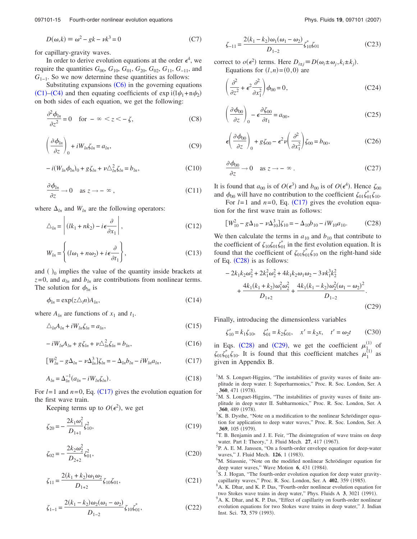$$
D(\omega, k) \equiv \omega^2 - gk - \nu k^3 = 0 \tag{C7}
$$

for capillary-gravity waves.

In order to derive evolution equations at the order  $\epsilon^4$ , we require the quantities  $G_{00}$ ,  $G_{10}$ ,  $G_{01}$ ,  $G_{20}$ ,  $G_{02}$ ,  $G_{11}$ ,  $G_{-11}$ , and *G*<sub>1−1</sub>. So we now determine these quantities as follows:

Substituting expansions  $(C6)$  in the governing equations (C1)–(C4) and then equating coefficients of  $\exp i(l\psi_1+n\psi_2)$ on both sides of each equation, we get the following:

$$
\frac{\partial^2 \phi_{ln}}{\partial z^2} = 0 \quad \text{for } -\infty < z < -\zeta,\tag{C8}
$$

$$
\left(\frac{\partial \phi_{ln}}{\partial z}\right)_0 + iW_{ln}\zeta_{ln} = a_{ln},\tag{C9}
$$

$$
-i(W_{ln}\phi_{ln})_0 + g\zeta_{ln} + \nu \triangle_{ln}^2 \zeta_{ln} = b_{ln},
$$
 (C10)

$$
\frac{\partial \phi_{ln}}{\partial z} \to 0 \quad \text{as } z \to -\infty ,
$$
 (C11)

where  $\Delta_{ln}$  and  $W_{ln}$  are the following operators:

$$
\triangle_{ln} = \left| (lk_1 + nk_2) - i\epsilon \frac{\partial}{\partial x_1} \right|, \tag{C12}
$$

$$
W_{ln} = \left\{ (l\omega_1 + n\omega_2) + i\epsilon \frac{\partial}{\partial t_1} \right\},\tag{C13}
$$

and  $\left( \ \right)$ <sub>0</sub> implies the value of the quantity inside brackets at  $z=0$ , and  $a_{ln}$  and  $b_{ln}$  are contributions from nonlinear terms. The solution for  $\phi_{ln}$  is

$$
\phi_{ln} = \exp(z\triangle_l n)A_{ln},\tag{C14}
$$

where  $A_{ln}$  are functions of  $x_1$  and  $t_1$ .

$$
\triangle_{ln} A_{ln} + iW_{ln} \zeta_{ln} = a_{ln},\tag{C15}
$$

$$
-iW_{ln}A_{ln} + g\zeta_{ln} + \nu\triangle_{ln}^2\zeta_{ln} = b_{ln},\tag{C16}
$$

$$
[W_{ln}^{2} - g\Delta_{ln} - \nu \Delta_{ln}^{3}] \zeta_{ln} = -\Delta_{ln} b_{ln} - iW_{ln} a_{ln}, \qquad (C17)
$$

$$
A_{ln} = \Delta_{ln}^{-1} (a_{ln} - iW_{ln}\zeta_{ln}).
$$
 (C18)

For  $l = 1$  and  $n = 0$ , Eq. (C17) gives the evolution equation for the first wave train.

Keeping terms up to  $O(\epsilon^2)$ , we get

$$
\zeta_{20} = -\frac{2k_1\omega_1^2}{D_{1+1}}\zeta_{10}^2,\tag{C19}
$$

$$
\zeta_{02} = -\frac{2k_2\omega_2^2}{D_{2+2}} \zeta_{01}^2,\tag{C20}
$$

$$
\zeta_{11} = \frac{2(k_1 + k_2)\omega_1\omega_2}{D_{1+2}} \zeta_{10}\zeta_{01},\tag{C21}
$$

$$
\zeta_{1-1} = \frac{2(k_1 - k_2)\omega_2(\omega_1 - \omega_2)}{D_{1-2}} \zeta_{10} \zeta_{01}^*,
$$
 (C22)

$$
\zeta_{-11} = \frac{2(k_1 - k_2)\omega_1(\omega_1 - \omega_2)}{D_{1-2}} \zeta_{10}^* \zeta_{01}
$$
 (C23)

correct to  $o(\epsilon^2)$  terms. Here  $D_{i\pm j} \equiv D(\omega_i \pm \omega_j, k_i \pm k_j)$ . Equations for  $(l,n)=(0,0)$  are

$$
\left(\frac{\partial^2}{\partial z^2} + \epsilon^2 \frac{\partial^2}{\partial x_1^2}\right) \phi_{00} = 0, \qquad (C24)
$$

$$
\left(\frac{\partial \phi_{00}}{\partial z}\right)_0 - \epsilon \frac{\partial \zeta_{00}}{\partial t_1} = a_{00},\tag{C25}
$$

$$
\epsilon \left( \frac{\partial \phi_{00}}{\partial z} \right)_0 + g \zeta_{00} - \epsilon^2 \nu \left( \frac{\partial^2}{\partial x_1^2} \right) \zeta_{00} = b_{00}, \tag{C26}
$$

$$
\frac{\partial \phi_{00}}{\partial z} \to 0 \quad \text{as } z \to -\infty \; . \tag{C27}
$$

It is found that  $a_{00}$  is of  $O(\epsilon^3)$  and  $b_{00}$  is of  $O(\epsilon^4)$ . Hence  $\zeta_{00}$ and  $\phi_{00}$  will have no contribution to the coefficient  $\zeta_{01}\zeta_{01}^* \zeta_{10}$ .

For  $l=1$  and  $n=0$ , Eq. (C17) gives the evolution equation for the first wave train as follows:

$$
[W_{10}^2 - g\Delta_{10} - \nu\Delta_{10}^3] \zeta_{10} = -\Delta_{10}b_{10} - iW_{10}a_{10}.
$$
 (C28)

We then calculate the terms in  $a_{10}$  and  $b_{10}$  that contribute to the coefficient of  $\zeta_{10}\zeta_{01}\zeta_{01}^*$  in the first evolution equation. It is found that the coefficient of  $\zeta_{01}\zeta_{01}^*\zeta_{10}$  on the right-hand side of Eq.  $(C28)$  is as follows:

$$
-2k_1k_2\omega_2^2 + 2k_1^2\omega_2^2 + 4k_1k_2\omega_1\omega_2 - 3\nu k_1^3k_2^2
$$
  
+ 
$$
\frac{4k_1(k_1 + k_2)\omega_1^2\omega_2^2}{D_{1+2}} + \frac{4k_1(k_1 - k_2)\omega_2^2(\omega_1 - \omega_2)^2}{D_{1-2}}.
$$
(C29)

Finally, introducing the dimensionless variables

$$
\zeta'_{10} = k_1 \zeta_{10}, \quad \zeta'_{01} = k_2 \zeta_{01}, \quad x' = k_2 x, \quad t' = \omega_2 t
$$
 (C30)

in Eqs. (C28) and (C29), we get the coefficient  $\mu_{1}^{(1)}$  of  $\zeta_{01}\zeta_{01}^*\zeta_{10}$ . It is found that this coefficient matches  $\mu_1^{(1)}$  as given in Appendix B.

- $1<sup>1</sup>M$ . S. Longuet-Higgins, "The instabilities of gravity waves of finite amplitude in deep water. I: Superharmonics," Proc. R. Soc. London, Ser. A 360, 471 (1978).
- <sup>2</sup>M. S. Longuet-Higgins, "The instabilities of gravity waves of finite amplitude in deep water II. Subharmonics," Proc. R. Soc. London, Ser. A 360, 489 (1978).
- $3K$ . B. Dysthe, "Note on a modification to the nonlinear Schrödinger equation for application to deep water waves," Proc. R. Soc. London, Ser. A 369, 105 (1979).
- <sup>4</sup>T. B. Benjamin and J. E. Feir, "The disintegration of wave trains on deep water. Part I: Theory," J. Fluid Mech. 27, 417 (1967).
- <sup>5</sup>P. A. E. M. Janssen, "On a fourth-order envelope equation for deep-water waves," J. Fluid Mech. 126, 1 (1983).
- <sup>6</sup>M. Stiassnie, "Note on the modified nonlinear Schrödinger equation for deep water waves," Wave Motion 6, 431 (1984).
- <sup>7</sup>S. J. Hogan, "The fourth-order evolution equation for deep water gravitycapillarity waves," Proc. R. Soc. London, Ser. A 402, 359 (1985).
- <sup>8</sup>A. K. Dhar, and K. P. Das, "Fourth-order nonlinear evolution equation for two Stokes wave trains in deep water," Phys. Fluids A 3, 3021 (1991).
- <sup>9</sup>A. K. Dhar, and K. P. Das, "Effect of capillarity on fourth-order nonlinear evolution equations for two Stokes wave trains in deep water," J. Indian Inst. Sci. 73, 579 (1993).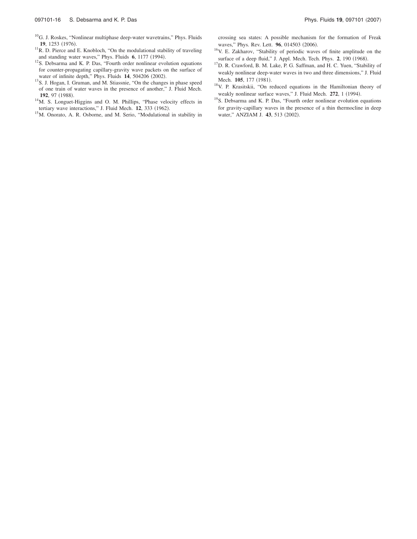- $10$ G. J. Roskes, "Nonlinear multiphase deep-water wavetrains," Phys. Fluids 19, 1253 (1976).
- $11R$ . D. Pierce and E. Knobloch, "On the modulational stability of traveling and standing water waves," Phys. Fluids 6, 1177 (1994).
- <sup>12</sup>S. Debsarma and K. P. Das, "Fourth order nonlinear evolution equations for counter-propagating capillary-gravity wave packets on the surface of water of infinite depth," Phys. Fluids 14, 504206 (2002).
- <sup>13</sup>S. J. Hogan, I. Gruman, and M. Stiassnie, "On the changes in phase speed of one train of water waves in the presence of another," J. Fluid Mech. 192, 97 (1988).
- <sup>14</sup>M. S. Longuet-Higgins and O. M. Phillips, "Phase velocity effects in tertiary wave interactions," J. Fluid Mech. 12, 333 (1962).
- <sup>15</sup>M. Onorato, A. R. Osborne, and M. Serio, "Modulational in stability in

crossing sea states: A possible mechanism for the formation of Freak waves," Phys. Rev. Lett. 96, 014503 (2006).

- <sup>16</sup>V. E. Zakharov, "Stability of periodic waves of finite amplitude on the surface of a deep fluid," J. Appl. Mech. Tech. Phys. 2, 190 (1968).
- <sup>17</sup>D. R. Crawford, B. M. Lake, P. G. Saffman, and H. C. Yuen, "Stability of weakly nonlinear deep-water waves in two and three dimensions," J. Fluid Mech. 105, 177 (1981).
- <sup>18</sup>V. P. Krasitskii, "On reduced equations in the Hamiltonian theory of weakly nonlinear surface waves," J. Fluid Mech. 272, 1 (1994).
- <sup>19</sup>S. Debsarma and K. P. Das, "Fourth order nonlinear evolution equations for gravity-capillary waves in the presence of a thin thermocline in deep water," ANZIAM J. 43, 513 (2002).